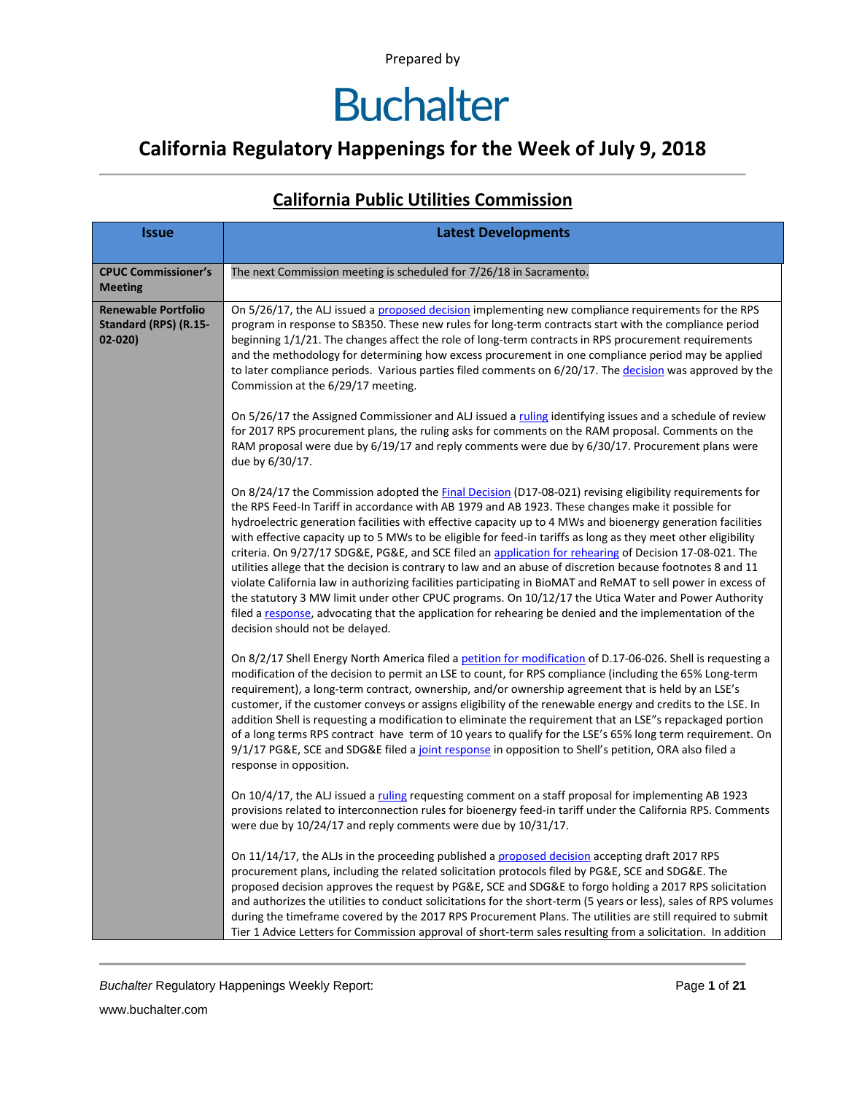### **California Regulatory Happenings for the Week of July 9, 2018**

| <b>Issue</b>                                                      | <b>Latest Developments</b>                                                                                                                                                                                                                                                                                                                                                                                                                                                                                                                                                                                                                                                                                                                                                                                                                                                                                                                                                                                                                          |
|-------------------------------------------------------------------|-----------------------------------------------------------------------------------------------------------------------------------------------------------------------------------------------------------------------------------------------------------------------------------------------------------------------------------------------------------------------------------------------------------------------------------------------------------------------------------------------------------------------------------------------------------------------------------------------------------------------------------------------------------------------------------------------------------------------------------------------------------------------------------------------------------------------------------------------------------------------------------------------------------------------------------------------------------------------------------------------------------------------------------------------------|
| <b>CPUC Commissioner's</b>                                        | The next Commission meeting is scheduled for 7/26/18 in Sacramento.                                                                                                                                                                                                                                                                                                                                                                                                                                                                                                                                                                                                                                                                                                                                                                                                                                                                                                                                                                                 |
| <b>Meeting</b>                                                    |                                                                                                                                                                                                                                                                                                                                                                                                                                                                                                                                                                                                                                                                                                                                                                                                                                                                                                                                                                                                                                                     |
| <b>Renewable Portfolio</b><br>Standard (RPS) (R.15-<br>$02 - 020$ | On 5/26/17, the ALJ issued a proposed decision implementing new compliance requirements for the RPS<br>program in response to SB350. These new rules for long-term contracts start with the compliance period<br>beginning 1/1/21. The changes affect the role of long-term contracts in RPS procurement requirements<br>and the methodology for determining how excess procurement in one compliance period may be applied<br>to later compliance periods. Various parties filed comments on 6/20/17. The decision was approved by the<br>Commission at the 6/29/17 meeting.                                                                                                                                                                                                                                                                                                                                                                                                                                                                       |
|                                                                   | On 5/26/17 the Assigned Commissioner and ALJ issued a ruling identifying issues and a schedule of review<br>for 2017 RPS procurement plans, the ruling asks for comments on the RAM proposal. Comments on the<br>RAM proposal were due by 6/19/17 and reply comments were due by 6/30/17. Procurement plans were<br>due by 6/30/17.                                                                                                                                                                                                                                                                                                                                                                                                                                                                                                                                                                                                                                                                                                                 |
|                                                                   | On 8/24/17 the Commission adopted the <b>Final Decision</b> (D17-08-021) revising eligibility requirements for<br>the RPS Feed-In Tariff in accordance with AB 1979 and AB 1923. These changes make it possible for<br>hydroelectric generation facilities with effective capacity up to 4 MWs and bioenergy generation facilities<br>with effective capacity up to 5 MWs to be eligible for feed-in tariffs as long as they meet other eligibility<br>criteria. On 9/27/17 SDG&E, PG&E, and SCE filed an application for rehearing of Decision 17-08-021. The<br>utilities allege that the decision is contrary to law and an abuse of discretion because footnotes 8 and 11<br>violate California law in authorizing facilities participating in BioMAT and ReMAT to sell power in excess of<br>the statutory 3 MW limit under other CPUC programs. On 10/12/17 the Utica Water and Power Authority<br>filed a response, advocating that the application for rehearing be denied and the implementation of the<br>decision should not be delayed. |
|                                                                   | On 8/2/17 Shell Energy North America filed a petition for modification of D.17-06-026. Shell is requesting a<br>modification of the decision to permit an LSE to count, for RPS compliance (including the 65% Long-term<br>requirement), a long-term contract, ownership, and/or ownership agreement that is held by an LSE's<br>customer, if the customer conveys or assigns eligibility of the renewable energy and credits to the LSE. In<br>addition Shell is requesting a modification to eliminate the requirement that an LSE"s repackaged portion<br>of a long terms RPS contract have term of 10 years to qualify for the LSE's 65% long term requirement. On<br>9/1/17 PG&E, SCE and SDG&E filed a joint response in opposition to Shell's petition, ORA also filed a<br>response in opposition.                                                                                                                                                                                                                                          |
|                                                                   | On 10/4/17, the ALJ issued a ruling requesting comment on a staff proposal for implementing AB 1923<br>provisions related to interconnection rules for bioenergy feed-in tariff under the California RPS. Comments<br>were due by 10/24/17 and reply comments were due by 10/31/17.                                                                                                                                                                                                                                                                                                                                                                                                                                                                                                                                                                                                                                                                                                                                                                 |
|                                                                   | On 11/14/17, the ALJs in the proceeding published a proposed decision accepting draft 2017 RPS<br>procurement plans, including the related solicitation protocols filed by PG&E, SCE and SDG&E. The<br>proposed decision approves the request by PG&E, SCE and SDG&E to forgo holding a 2017 RPS solicitation<br>and authorizes the utilities to conduct solicitations for the short-term (5 years or less), sales of RPS volumes<br>during the timeframe covered by the 2017 RPS Procurement Plans. The utilities are still required to submit<br>Tier 1 Advice Letters for Commission approval of short-term sales resulting from a solicitation. In addition                                                                                                                                                                                                                                                                                                                                                                                     |

#### **California Public Utilities Commission**

**Buchalter Regulatory Happenings Weekly Report:** Page 1 of 21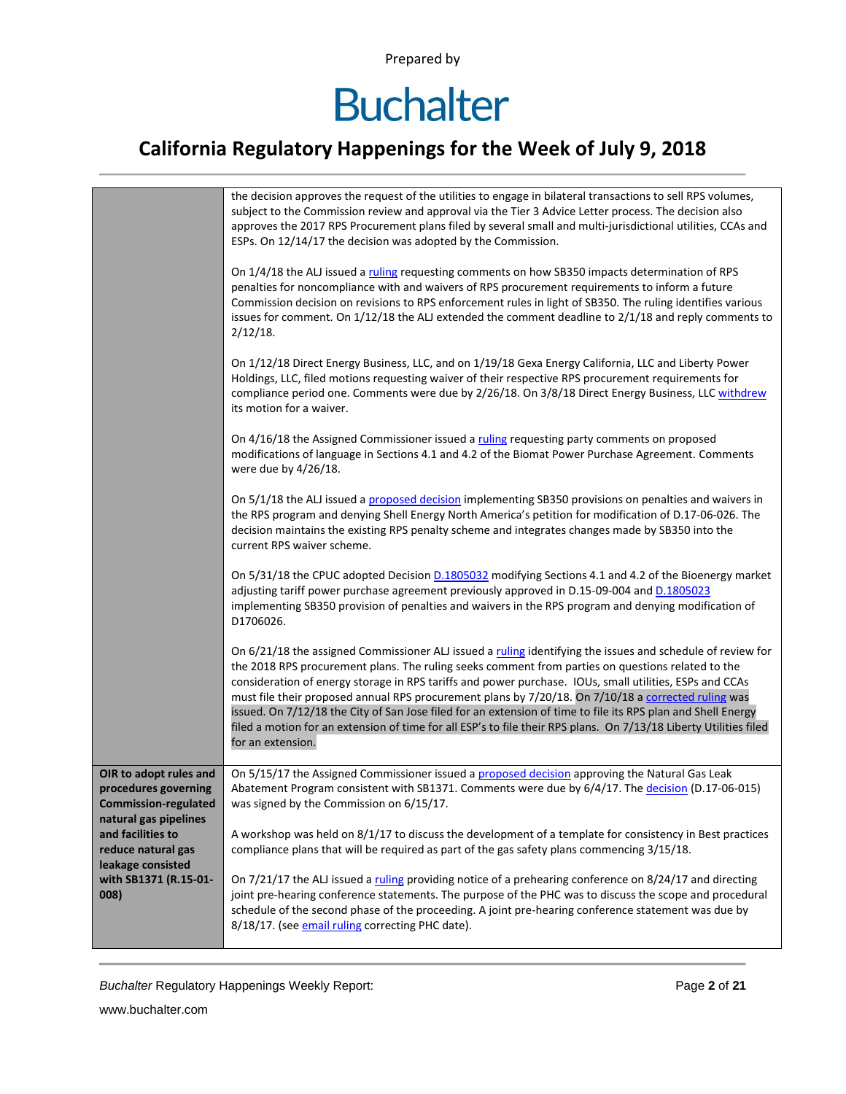## **Buchalter**

### **California Regulatory Happenings for the Week of July 9, 2018**

|                                                                                       | the decision approves the request of the utilities to engage in bilateral transactions to sell RPS volumes,<br>subject to the Commission review and approval via the Tier 3 Advice Letter process. The decision also<br>approves the 2017 RPS Procurement plans filed by several small and multi-jurisdictional utilities, CCAs and<br>ESPs. On 12/14/17 the decision was adopted by the Commission.<br>On 1/4/18 the ALJ issued a ruling requesting comments on how SB350 impacts determination of RPS<br>penalties for noncompliance with and waivers of RPS procurement requirements to inform a future<br>Commission decision on revisions to RPS enforcement rules in light of SB350. The ruling identifies various<br>issues for comment. On 1/12/18 the ALJ extended the comment deadline to 2/1/18 and reply comments to<br>$2/12/18$ . |
|---------------------------------------------------------------------------------------|-------------------------------------------------------------------------------------------------------------------------------------------------------------------------------------------------------------------------------------------------------------------------------------------------------------------------------------------------------------------------------------------------------------------------------------------------------------------------------------------------------------------------------------------------------------------------------------------------------------------------------------------------------------------------------------------------------------------------------------------------------------------------------------------------------------------------------------------------|
|                                                                                       | On 1/12/18 Direct Energy Business, LLC, and on 1/19/18 Gexa Energy California, LLC and Liberty Power<br>Holdings, LLC, filed motions requesting waiver of their respective RPS procurement requirements for<br>compliance period one. Comments were due by 2/26/18. On 3/8/18 Direct Energy Business, LLC withdrew<br>its motion for a waiver.                                                                                                                                                                                                                                                                                                                                                                                                                                                                                                  |
|                                                                                       | On 4/16/18 the Assigned Commissioner issued a ruling requesting party comments on proposed<br>modifications of language in Sections 4.1 and 4.2 of the Biomat Power Purchase Agreement. Comments<br>were due by 4/26/18.                                                                                                                                                                                                                                                                                                                                                                                                                                                                                                                                                                                                                        |
|                                                                                       | On 5/1/18 the ALJ issued a proposed decision implementing SB350 provisions on penalties and waivers in<br>the RPS program and denying Shell Energy North America's petition for modification of D.17-06-026. The<br>decision maintains the existing RPS penalty scheme and integrates changes made by SB350 into the<br>current RPS waiver scheme.                                                                                                                                                                                                                                                                                                                                                                                                                                                                                              |
|                                                                                       | On 5/31/18 the CPUC adopted Decision D.1805032 modifying Sections 4.1 and 4.2 of the Bioenergy market<br>adjusting tariff power purchase agreement previously approved in D.15-09-004 and D.1805023<br>implementing SB350 provision of penalties and waivers in the RPS program and denying modification of<br>D1706026.                                                                                                                                                                                                                                                                                                                                                                                                                                                                                                                        |
|                                                                                       | On 6/21/18 the assigned Commissioner ALJ issued a ruling identifying the issues and schedule of review for<br>the 2018 RPS procurement plans. The ruling seeks comment from parties on questions related to the<br>consideration of energy storage in RPS tariffs and power purchase. IOUs, small utilities, ESPs and CCAs<br>must file their proposed annual RPS procurement plans by 7/20/18. On 7/10/18 a corrected ruling was<br>issued. On 7/12/18 the City of San Jose filed for an extension of time to file its RPS plan and Shell Energy<br>filed a motion for an extension of time for all ESP's to file their RPS plans. On 7/13/18 Liberty Utilities filed<br>for an extension.                                                                                                                                                     |
| OIR to adopt rules and<br>procedures governing<br><b>Commission-regulated</b>         | On 5/15/17 the Assigned Commissioner issued a proposed decision approving the Natural Gas Leak<br>Abatement Program consistent with SB1371. Comments were due by 6/4/17. The decision (D.17-06-015)<br>was signed by the Commission on 6/15/17.                                                                                                                                                                                                                                                                                                                                                                                                                                                                                                                                                                                                 |
| natural gas pipelines<br>and facilities to<br>reduce natural gas<br>leakage consisted | A workshop was held on 8/1/17 to discuss the development of a template for consistency in Best practices<br>compliance plans that will be required as part of the gas safety plans commencing 3/15/18.                                                                                                                                                                                                                                                                                                                                                                                                                                                                                                                                                                                                                                          |
| with SB1371 (R.15-01-<br>008)                                                         | On 7/21/17 the ALJ issued a ruling providing notice of a prehearing conference on 8/24/17 and directing<br>joint pre-hearing conference statements. The purpose of the PHC was to discuss the scope and procedural<br>schedule of the second phase of the proceeding. A joint pre-hearing conference statement was due by<br>8/18/17. (see email ruling correcting PHC date).                                                                                                                                                                                                                                                                                                                                                                                                                                                                   |

**Buchalter Regulatory Happenings Weekly Report:** Page 2 of 21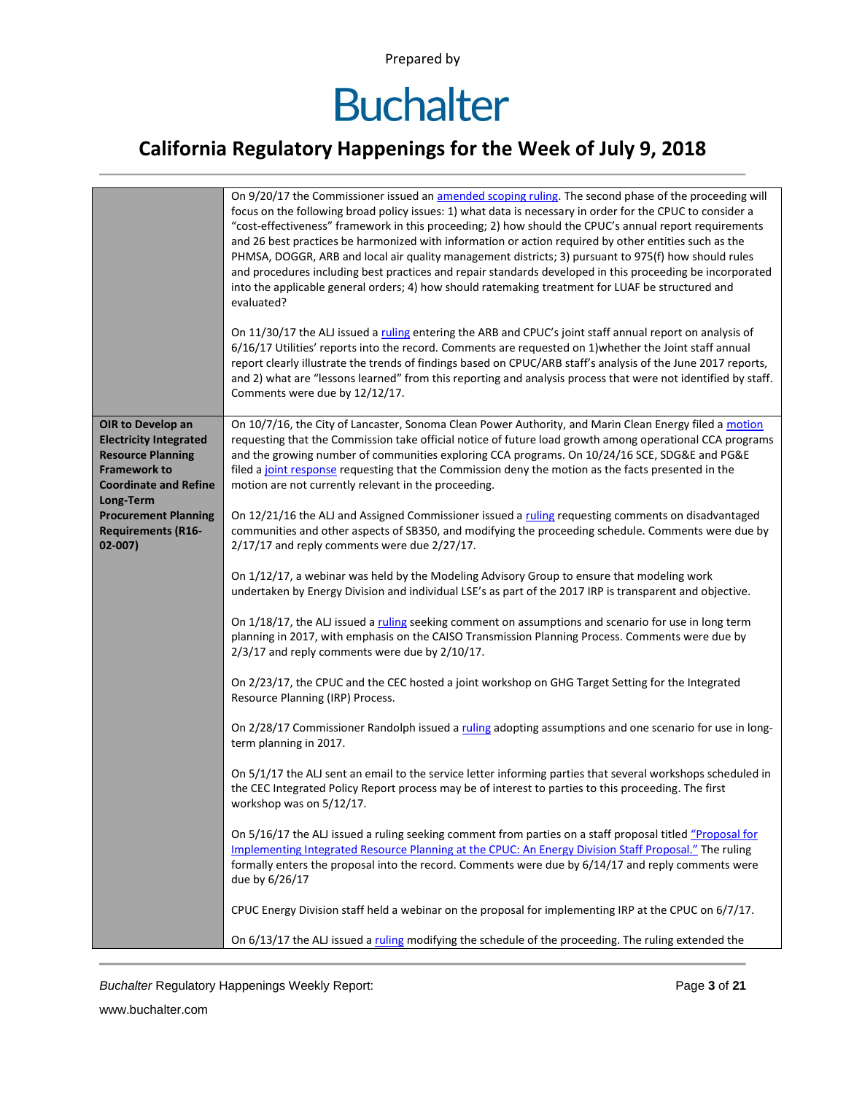### **California Regulatory Happenings for the Week of July 9, 2018**

|                                                                                                                                       | On 9/20/17 the Commissioner issued an amended scoping ruling. The second phase of the proceeding will<br>focus on the following broad policy issues: 1) what data is necessary in order for the CPUC to consider a<br>"cost-effectiveness" framework in this proceeding; 2) how should the CPUC's annual report requirements<br>and 26 best practices be harmonized with information or action required by other entities such as the<br>PHMSA, DOGGR, ARB and local air quality management districts; 3) pursuant to 975(f) how should rules<br>and procedures including best practices and repair standards developed in this proceeding be incorporated<br>into the applicable general orders; 4) how should ratemaking treatment for LUAF be structured and<br>evaluated?<br>On 11/30/17 the ALJ issued a ruling entering the ARB and CPUC's joint staff annual report on analysis of<br>6/16/17 Utilities' reports into the record. Comments are requested on 1) whether the Joint staff annual<br>report clearly illustrate the trends of findings based on CPUC/ARB staff's analysis of the June 2017 reports,<br>and 2) what are "lessons learned" from this reporting and analysis process that were not identified by staff.<br>Comments were due by 12/12/17. |
|---------------------------------------------------------------------------------------------------------------------------------------|--------------------------------------------------------------------------------------------------------------------------------------------------------------------------------------------------------------------------------------------------------------------------------------------------------------------------------------------------------------------------------------------------------------------------------------------------------------------------------------------------------------------------------------------------------------------------------------------------------------------------------------------------------------------------------------------------------------------------------------------------------------------------------------------------------------------------------------------------------------------------------------------------------------------------------------------------------------------------------------------------------------------------------------------------------------------------------------------------------------------------------------------------------------------------------------------------------------------------------------------------------------------------|
| OIR to Develop an<br><b>Electricity Integrated</b><br><b>Resource Planning</b><br><b>Framework to</b><br><b>Coordinate and Refine</b> | On 10/7/16, the City of Lancaster, Sonoma Clean Power Authority, and Marin Clean Energy filed a motion<br>requesting that the Commission take official notice of future load growth among operational CCA programs<br>and the growing number of communities exploring CCA programs. On 10/24/16 SCE, SDG&E and PG&E<br>filed a joint response requesting that the Commission deny the motion as the facts presented in the<br>motion are not currently relevant in the proceeding.                                                                                                                                                                                                                                                                                                                                                                                                                                                                                                                                                                                                                                                                                                                                                                                       |
| Long-Term<br><b>Procurement Planning</b><br><b>Requirements (R16-</b><br>$02 - 007$                                                   | On 12/21/16 the ALJ and Assigned Commissioner issued a ruling requesting comments on disadvantaged<br>communities and other aspects of SB350, and modifying the proceeding schedule. Comments were due by<br>2/17/17 and reply comments were due 2/27/17.                                                                                                                                                                                                                                                                                                                                                                                                                                                                                                                                                                                                                                                                                                                                                                                                                                                                                                                                                                                                                |
|                                                                                                                                       | On 1/12/17, a webinar was held by the Modeling Advisory Group to ensure that modeling work<br>undertaken by Energy Division and individual LSE's as part of the 2017 IRP is transparent and objective.                                                                                                                                                                                                                                                                                                                                                                                                                                                                                                                                                                                                                                                                                                                                                                                                                                                                                                                                                                                                                                                                   |
|                                                                                                                                       | On 1/18/17, the ALJ issued a ruling seeking comment on assumptions and scenario for use in long term<br>planning in 2017, with emphasis on the CAISO Transmission Planning Process. Comments were due by<br>2/3/17 and reply comments were due by 2/10/17.                                                                                                                                                                                                                                                                                                                                                                                                                                                                                                                                                                                                                                                                                                                                                                                                                                                                                                                                                                                                               |
|                                                                                                                                       | On 2/23/17, the CPUC and the CEC hosted a joint workshop on GHG Target Setting for the Integrated<br>Resource Planning (IRP) Process.                                                                                                                                                                                                                                                                                                                                                                                                                                                                                                                                                                                                                                                                                                                                                                                                                                                                                                                                                                                                                                                                                                                                    |
|                                                                                                                                       | On 2/28/17 Commissioner Randolph issued a ruling adopting assumptions and one scenario for use in long-<br>term planning in 2017.                                                                                                                                                                                                                                                                                                                                                                                                                                                                                                                                                                                                                                                                                                                                                                                                                                                                                                                                                                                                                                                                                                                                        |
|                                                                                                                                       | On 5/1/17 the ALJ sent an email to the service letter informing parties that several workshops scheduled in<br>the CEC Integrated Policy Report process may be of interest to parties to this proceeding. The first<br>workshop was on 5/12/17.                                                                                                                                                                                                                                                                                                                                                                                                                                                                                                                                                                                                                                                                                                                                                                                                                                                                                                                                                                                                                          |
|                                                                                                                                       | On 5/16/17 the ALJ issued a ruling seeking comment from parties on a staff proposal titled "Proposal for<br>Implementing Integrated Resource Planning at the CPUC: An Energy Division Staff Proposal." The ruling<br>formally enters the proposal into the record. Comments were due by 6/14/17 and reply comments were<br>due by 6/26/17                                                                                                                                                                                                                                                                                                                                                                                                                                                                                                                                                                                                                                                                                                                                                                                                                                                                                                                                |
|                                                                                                                                       | CPUC Energy Division staff held a webinar on the proposal for implementing IRP at the CPUC on 6/7/17.                                                                                                                                                                                                                                                                                                                                                                                                                                                                                                                                                                                                                                                                                                                                                                                                                                                                                                                                                                                                                                                                                                                                                                    |
|                                                                                                                                       | On 6/13/17 the ALJ issued a ruling modifying the schedule of the proceeding. The ruling extended the                                                                                                                                                                                                                                                                                                                                                                                                                                                                                                                                                                                                                                                                                                                                                                                                                                                                                                                                                                                                                                                                                                                                                                     |

**Buchalter Regulatory Happenings Weekly Report:** Page 3 of 21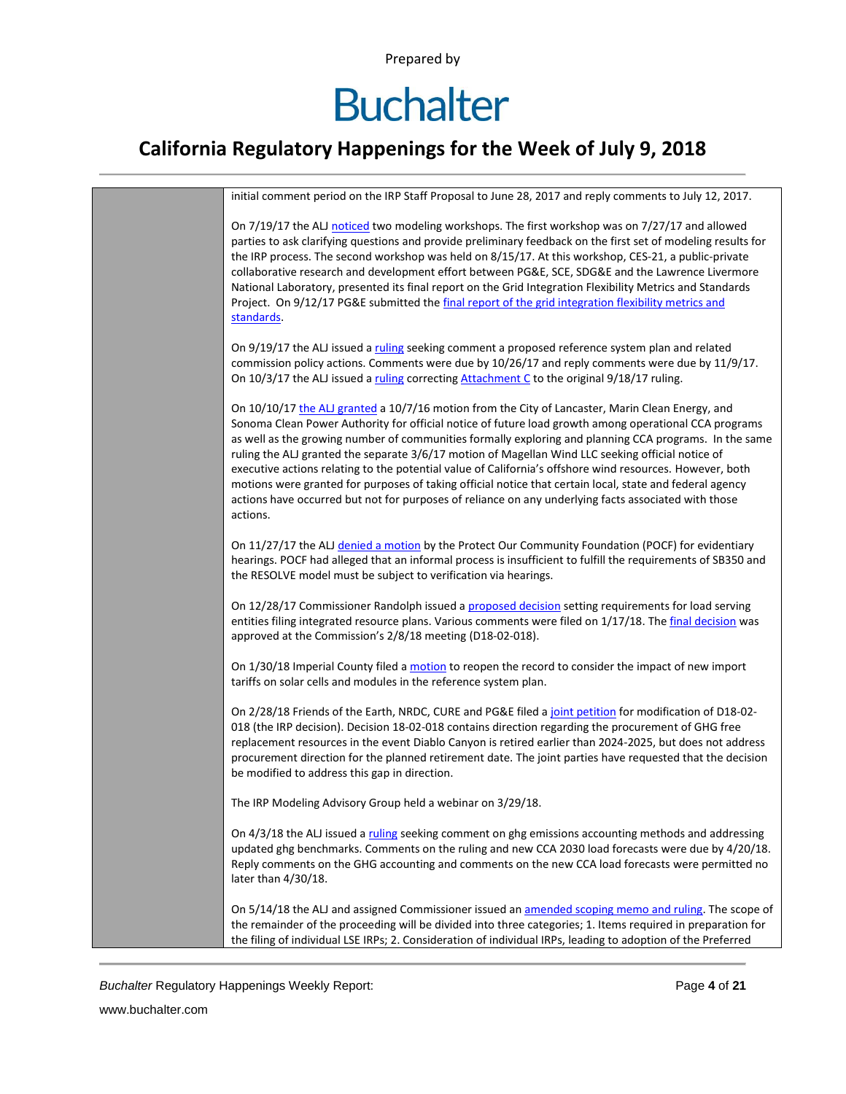#### **California Regulatory Happenings for the Week of July 9, 2018**



*Buchalter* Regulatory Happenings Weekly Report: Page **4** of **21**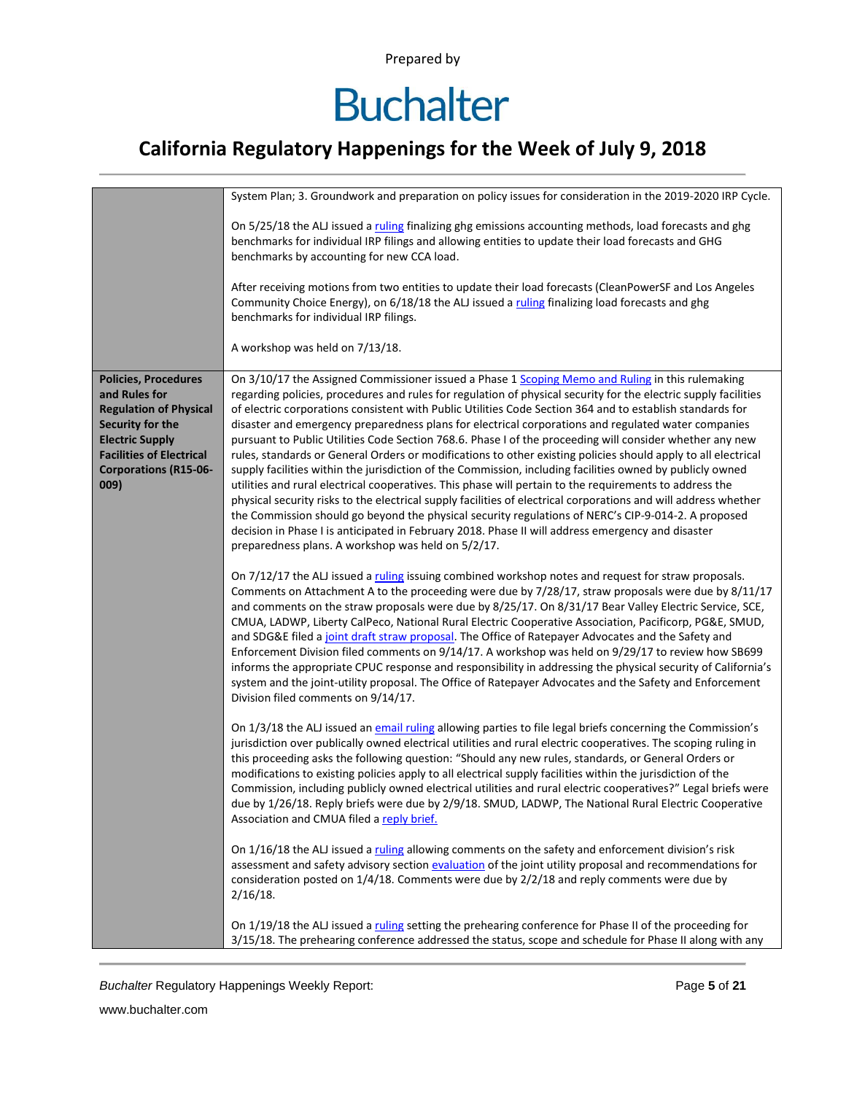## **Buchalter**

### **California Regulatory Happenings for the Week of July 9, 2018**

|                                                                                                                                                                                                        | System Plan; 3. Groundwork and preparation on policy issues for consideration in the 2019-2020 IRP Cycle.                                                                                                                                                                                                                                                                                                                                                                                                                                                                                                                                                                                                                                                                                                                                                                                                                                                                                                                                                                                                                                                                                                                                                                         |
|--------------------------------------------------------------------------------------------------------------------------------------------------------------------------------------------------------|-----------------------------------------------------------------------------------------------------------------------------------------------------------------------------------------------------------------------------------------------------------------------------------------------------------------------------------------------------------------------------------------------------------------------------------------------------------------------------------------------------------------------------------------------------------------------------------------------------------------------------------------------------------------------------------------------------------------------------------------------------------------------------------------------------------------------------------------------------------------------------------------------------------------------------------------------------------------------------------------------------------------------------------------------------------------------------------------------------------------------------------------------------------------------------------------------------------------------------------------------------------------------------------|
|                                                                                                                                                                                                        | On 5/25/18 the ALJ issued a ruling finalizing ghg emissions accounting methods, load forecasts and ghg<br>benchmarks for individual IRP filings and allowing entities to update their load forecasts and GHG<br>benchmarks by accounting for new CCA load.                                                                                                                                                                                                                                                                                                                                                                                                                                                                                                                                                                                                                                                                                                                                                                                                                                                                                                                                                                                                                        |
|                                                                                                                                                                                                        | After receiving motions from two entities to update their load forecasts (CleanPowerSF and Los Angeles<br>Community Choice Energy), on 6/18/18 the ALJ issued a ruling finalizing load forecasts and ghg<br>benchmarks for individual IRP filings.                                                                                                                                                                                                                                                                                                                                                                                                                                                                                                                                                                                                                                                                                                                                                                                                                                                                                                                                                                                                                                |
|                                                                                                                                                                                                        | A workshop was held on 7/13/18.                                                                                                                                                                                                                                                                                                                                                                                                                                                                                                                                                                                                                                                                                                                                                                                                                                                                                                                                                                                                                                                                                                                                                                                                                                                   |
| <b>Policies, Procedures</b><br>and Rules for<br><b>Regulation of Physical</b><br>Security for the<br><b>Electric Supply</b><br><b>Facilities of Electrical</b><br><b>Corporations (R15-06-</b><br>009) | On 3/10/17 the Assigned Commissioner issued a Phase 1 Scoping Memo and Ruling in this rulemaking<br>regarding policies, procedures and rules for regulation of physical security for the electric supply facilities<br>of electric corporations consistent with Public Utilities Code Section 364 and to establish standards for<br>disaster and emergency preparedness plans for electrical corporations and regulated water companies<br>pursuant to Public Utilities Code Section 768.6. Phase I of the proceeding will consider whether any new<br>rules, standards or General Orders or modifications to other existing policies should apply to all electrical<br>supply facilities within the jurisdiction of the Commission, including facilities owned by publicly owned<br>utilities and rural electrical cooperatives. This phase will pertain to the requirements to address the<br>physical security risks to the electrical supply facilities of electrical corporations and will address whether<br>the Commission should go beyond the physical security regulations of NERC's CIP-9-014-2. A proposed<br>decision in Phase I is anticipated in February 2018. Phase II will address emergency and disaster<br>preparedness plans. A workshop was held on 5/2/17. |
|                                                                                                                                                                                                        | On 7/12/17 the ALJ issued a ruling issuing combined workshop notes and request for straw proposals.<br>Comments on Attachment A to the proceeding were due by 7/28/17, straw proposals were due by 8/11/17<br>and comments on the straw proposals were due by 8/25/17. On 8/31/17 Bear Valley Electric Service, SCE,<br>CMUA, LADWP, Liberty CalPeco, National Rural Electric Cooperative Association, Pacificorp, PG&E, SMUD,<br>and SDG&E filed a joint draft straw proposal. The Office of Ratepayer Advocates and the Safety and<br>Enforcement Division filed comments on 9/14/17. A workshop was held on 9/29/17 to review how SB699<br>informs the appropriate CPUC response and responsibility in addressing the physical security of California's<br>system and the joint-utility proposal. The Office of Ratepayer Advocates and the Safety and Enforcement<br>Division filed comments on 9/14/17.                                                                                                                                                                                                                                                                                                                                                                      |
|                                                                                                                                                                                                        | On 1/3/18 the ALJ issued an email ruling allowing parties to file legal briefs concerning the Commission's<br>jurisdiction over publically owned electrical utilities and rural electric cooperatives. The scoping ruling in<br>this proceeding asks the following question: "Should any new rules, standards, or General Orders or<br>modifications to existing policies apply to all electrical supply facilities within the jurisdiction of the<br>Commission, including publicly owned electrical utilities and rural electric cooperatives?" Legal briefs were<br>due by 1/26/18. Reply briefs were due by 2/9/18. SMUD, LADWP, The National Rural Electric Cooperative<br>Association and CMUA filed a reply brief.                                                                                                                                                                                                                                                                                                                                                                                                                                                                                                                                                         |
|                                                                                                                                                                                                        | On 1/16/18 the ALJ issued a ruling allowing comments on the safety and enforcement division's risk<br>assessment and safety advisory section evaluation of the joint utility proposal and recommendations for<br>consideration posted on 1/4/18. Comments were due by 2/2/18 and reply comments were due by<br>$2/16/18$ .                                                                                                                                                                                                                                                                                                                                                                                                                                                                                                                                                                                                                                                                                                                                                                                                                                                                                                                                                        |
|                                                                                                                                                                                                        | On 1/19/18 the ALJ issued a ruling setting the prehearing conference for Phase II of the proceeding for<br>3/15/18. The prehearing conference addressed the status, scope and schedule for Phase II along with any                                                                                                                                                                                                                                                                                                                                                                                                                                                                                                                                                                                                                                                                                                                                                                                                                                                                                                                                                                                                                                                                |

**Buchalter Regulatory Happenings Weekly Report:** Page 5 of 21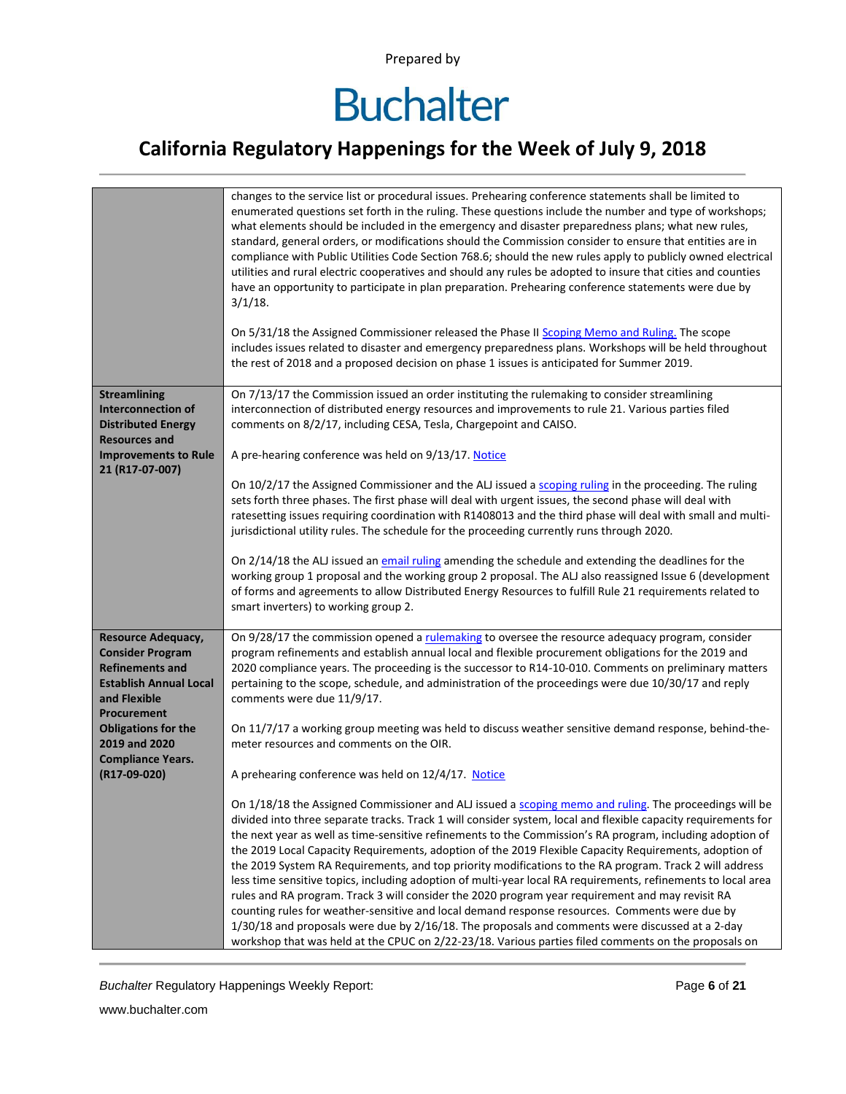### **California Regulatory Happenings for the Week of July 9, 2018**

|                                                                                                                                                       | changes to the service list or procedural issues. Prehearing conference statements shall be limited to<br>enumerated questions set forth in the ruling. These questions include the number and type of workshops;<br>what elements should be included in the emergency and disaster preparedness plans; what new rules,<br>standard, general orders, or modifications should the Commission consider to ensure that entities are in<br>compliance with Public Utilities Code Section 768.6; should the new rules apply to publicly owned electrical<br>utilities and rural electric cooperatives and should any rules be adopted to insure that cities and counties<br>have an opportunity to participate in plan preparation. Prehearing conference statements were due by<br>$3/1/18$ .<br>On 5/31/18 the Assigned Commissioner released the Phase II Scoping Memo and Ruling. The scope<br>includes issues related to disaster and emergency preparedness plans. Workshops will be held throughout<br>the rest of 2018 and a proposed decision on phase 1 issues is anticipated for Summer 2019. |
|-------------------------------------------------------------------------------------------------------------------------------------------------------|-----------------------------------------------------------------------------------------------------------------------------------------------------------------------------------------------------------------------------------------------------------------------------------------------------------------------------------------------------------------------------------------------------------------------------------------------------------------------------------------------------------------------------------------------------------------------------------------------------------------------------------------------------------------------------------------------------------------------------------------------------------------------------------------------------------------------------------------------------------------------------------------------------------------------------------------------------------------------------------------------------------------------------------------------------------------------------------------------------|
| <b>Streamlining</b><br><b>Interconnection of</b><br><b>Distributed Energy</b><br><b>Resources and</b>                                                 | On 7/13/17 the Commission issued an order instituting the rulemaking to consider streamlining<br>interconnection of distributed energy resources and improvements to rule 21. Various parties filed<br>comments on 8/2/17, including CESA, Tesla, Chargepoint and CAISO.                                                                                                                                                                                                                                                                                                                                                                                                                                                                                                                                                                                                                                                                                                                                                                                                                            |
| <b>Improvements to Rule</b><br>21 (R17-07-007)                                                                                                        | A pre-hearing conference was held on 9/13/17. Notice                                                                                                                                                                                                                                                                                                                                                                                                                                                                                                                                                                                                                                                                                                                                                                                                                                                                                                                                                                                                                                                |
|                                                                                                                                                       | On 10/2/17 the Assigned Commissioner and the ALJ issued a scoping ruling in the proceeding. The ruling<br>sets forth three phases. The first phase will deal with urgent issues, the second phase will deal with<br>ratesetting issues requiring coordination with R1408013 and the third phase will deal with small and multi-<br>jurisdictional utility rules. The schedule for the proceeding currently runs through 2020.                                                                                                                                                                                                                                                                                                                                                                                                                                                                                                                                                                                                                                                                       |
|                                                                                                                                                       | On 2/14/18 the ALJ issued an email ruling amending the schedule and extending the deadlines for the<br>working group 1 proposal and the working group 2 proposal. The ALJ also reassigned Issue 6 (development<br>of forms and agreements to allow Distributed Energy Resources to fulfill Rule 21 requirements related to<br>smart inverters) to working group 2.                                                                                                                                                                                                                                                                                                                                                                                                                                                                                                                                                                                                                                                                                                                                  |
| <b>Resource Adequacy,</b><br><b>Consider Program</b><br><b>Refinements and</b><br><b>Establish Annual Local</b><br>and Flexible<br><b>Procurement</b> | On 9/28/17 the commission opened a rulemaking to oversee the resource adequacy program, consider<br>program refinements and establish annual local and flexible procurement obligations for the 2019 and<br>2020 compliance years. The proceeding is the successor to R14-10-010. Comments on preliminary matters<br>pertaining to the scope, schedule, and administration of the proceedings were due 10/30/17 and reply<br>comments were due 11/9/17.                                                                                                                                                                                                                                                                                                                                                                                                                                                                                                                                                                                                                                             |
| <b>Obligations for the</b><br>2019 and 2020                                                                                                           | On 11/7/17 a working group meeting was held to discuss weather sensitive demand response, behind-the-<br>meter resources and comments on the OIR.                                                                                                                                                                                                                                                                                                                                                                                                                                                                                                                                                                                                                                                                                                                                                                                                                                                                                                                                                   |
| <b>Compliance Years.</b><br>(R17-09-020)                                                                                                              | A prehearing conference was held on 12/4/17. Notice                                                                                                                                                                                                                                                                                                                                                                                                                                                                                                                                                                                                                                                                                                                                                                                                                                                                                                                                                                                                                                                 |
|                                                                                                                                                       | On 1/18/18 the Assigned Commissioner and ALJ issued a scoping memo and ruling. The proceedings will be<br>divided into three separate tracks. Track 1 will consider system, local and flexible capacity requirements for<br>the next year as well as time-sensitive refinements to the Commission's RA program, including adoption of<br>the 2019 Local Capacity Requirements, adoption of the 2019 Flexible Capacity Requirements, adoption of<br>the 2019 System RA Requirements, and top priority modifications to the RA program. Track 2 will address<br>less time sensitive topics, including adoption of multi-year local RA requirements, refinements to local area<br>rules and RA program. Track 3 will consider the 2020 program year requirement and may revisit RA<br>counting rules for weather-sensitive and local demand response resources. Comments were due by<br>1/30/18 and proposals were due by 2/16/18. The proposals and comments were discussed at a 2-day<br>workshop that was held at the CPUC on 2/22-23/18. Various parties filed comments on the proposals on        |

**Buchalter Regulatory Happenings Weekly Report:** Page 6 of 21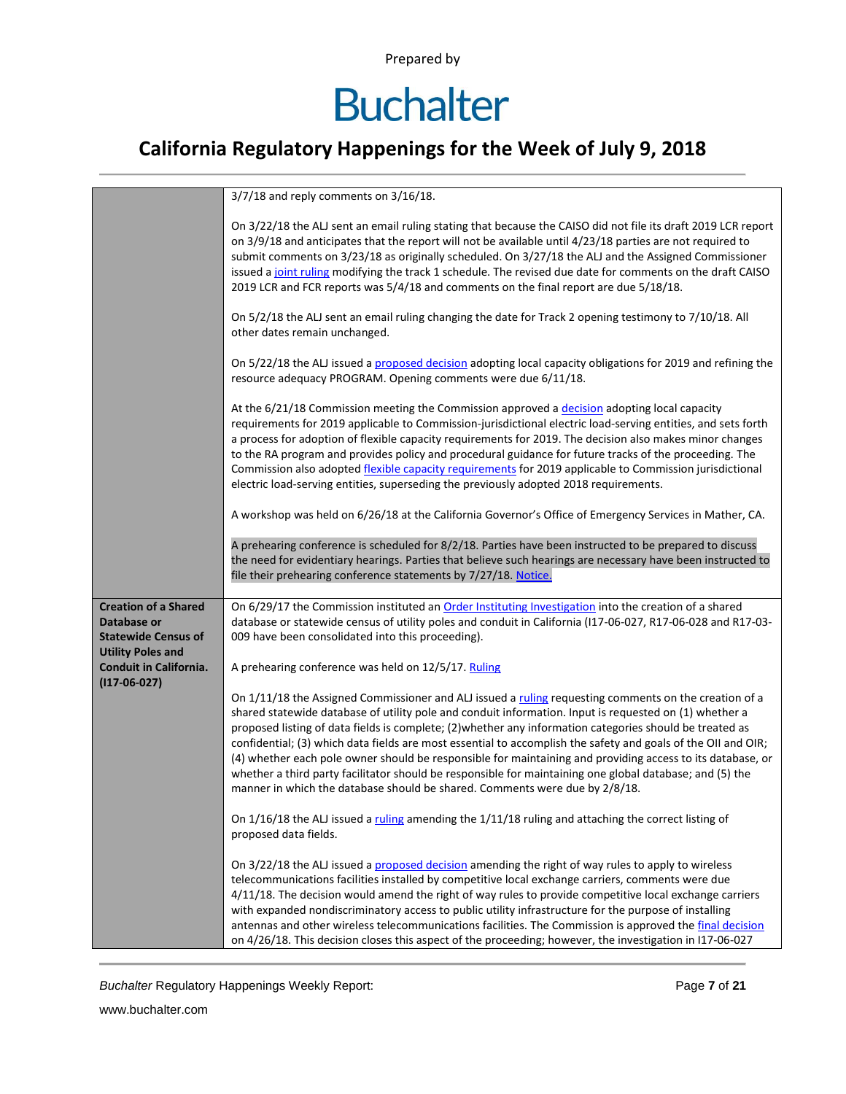# **Buchalter**

### **California Regulatory Happenings for the Week of July 9, 2018**

|                                                                                                      | 3/7/18 and reply comments on 3/16/18.                                                                                                                                                                                                                                                                                                                                                                                                                                                                                                                                                                                                                                                                                                                 |
|------------------------------------------------------------------------------------------------------|-------------------------------------------------------------------------------------------------------------------------------------------------------------------------------------------------------------------------------------------------------------------------------------------------------------------------------------------------------------------------------------------------------------------------------------------------------------------------------------------------------------------------------------------------------------------------------------------------------------------------------------------------------------------------------------------------------------------------------------------------------|
|                                                                                                      | On 3/22/18 the ALJ sent an email ruling stating that because the CAISO did not file its draft 2019 LCR report<br>on 3/9/18 and anticipates that the report will not be available until 4/23/18 parties are not required to<br>submit comments on 3/23/18 as originally scheduled. On 3/27/18 the ALJ and the Assigned Commissioner<br>issued a joint ruling modifying the track 1 schedule. The revised due date for comments on the draft CAISO<br>2019 LCR and FCR reports was 5/4/18 and comments on the final report are due 5/18/18.                                                                                                                                                                                                             |
|                                                                                                      | On 5/2/18 the ALJ sent an email ruling changing the date for Track 2 opening testimony to 7/10/18. All<br>other dates remain unchanged.                                                                                                                                                                                                                                                                                                                                                                                                                                                                                                                                                                                                               |
|                                                                                                      | On 5/22/18 the ALJ issued a proposed decision adopting local capacity obligations for 2019 and refining the<br>resource adequacy PROGRAM. Opening comments were due 6/11/18.                                                                                                                                                                                                                                                                                                                                                                                                                                                                                                                                                                          |
|                                                                                                      | At the 6/21/18 Commission meeting the Commission approved a decision adopting local capacity<br>requirements for 2019 applicable to Commission-jurisdictional electric load-serving entities, and sets forth<br>a process for adoption of flexible capacity requirements for 2019. The decision also makes minor changes<br>to the RA program and provides policy and procedural guidance for future tracks of the proceeding. The<br>Commission also adopted flexible capacity requirements for 2019 applicable to Commission jurisdictional<br>electric load-serving entities, superseding the previously adopted 2018 requirements.                                                                                                                |
|                                                                                                      | A workshop was held on 6/26/18 at the California Governor's Office of Emergency Services in Mather, CA.                                                                                                                                                                                                                                                                                                                                                                                                                                                                                                                                                                                                                                               |
|                                                                                                      | A prehearing conference is scheduled for 8/2/18. Parties have been instructed to be prepared to discuss<br>the need for evidentiary hearings. Parties that believe such hearings are necessary have been instructed to<br>file their prehearing conference statements by 7/27/18. Notice.                                                                                                                                                                                                                                                                                                                                                                                                                                                             |
| <b>Creation of a Shared</b><br>Database or<br><b>Statewide Census of</b><br><b>Utility Poles and</b> | On 6/29/17 the Commission instituted an Order Instituting Investigation into the creation of a shared<br>database or statewide census of utility poles and conduit in California (117-06-027, R17-06-028 and R17-03-<br>009 have been consolidated into this proceeding).                                                                                                                                                                                                                                                                                                                                                                                                                                                                             |
| <b>Conduit in California.</b>                                                                        | A prehearing conference was held on 12/5/17. Ruling                                                                                                                                                                                                                                                                                                                                                                                                                                                                                                                                                                                                                                                                                                   |
| $(117-06-027)$                                                                                       | On 1/11/18 the Assigned Commissioner and ALJ issued a ruling requesting comments on the creation of a<br>shared statewide database of utility pole and conduit information. Input is requested on (1) whether a<br>proposed listing of data fields is complete; (2) whether any information categories should be treated as<br>confidential; (3) which data fields are most essential to accomplish the safety and goals of the OII and OIR;<br>(4) whether each pole owner should be responsible for maintaining and providing access to its database, or<br>whether a third party facilitator should be responsible for maintaining one global database; and (5) the<br>manner in which the database should be shared. Comments were due by 2/8/18. |
|                                                                                                      | On 1/16/18 the ALJ issued a ruling amending the 1/11/18 ruling and attaching the correct listing of<br>proposed data fields.                                                                                                                                                                                                                                                                                                                                                                                                                                                                                                                                                                                                                          |
|                                                                                                      | On 3/22/18 the ALJ issued a proposed decision amending the right of way rules to apply to wireless<br>telecommunications facilities installed by competitive local exchange carriers, comments were due<br>4/11/18. The decision would amend the right of way rules to provide competitive local exchange carriers<br>with expanded nondiscriminatory access to public utility infrastructure for the purpose of installing<br>antennas and other wireless telecommunications facilities. The Commission is approved the final decision<br>on 4/26/18. This decision closes this aspect of the proceeding; however, the investigation in I17-06-027                                                                                                   |

**Buchalter Regulatory Happenings Weekly Report:** Page 7 of 21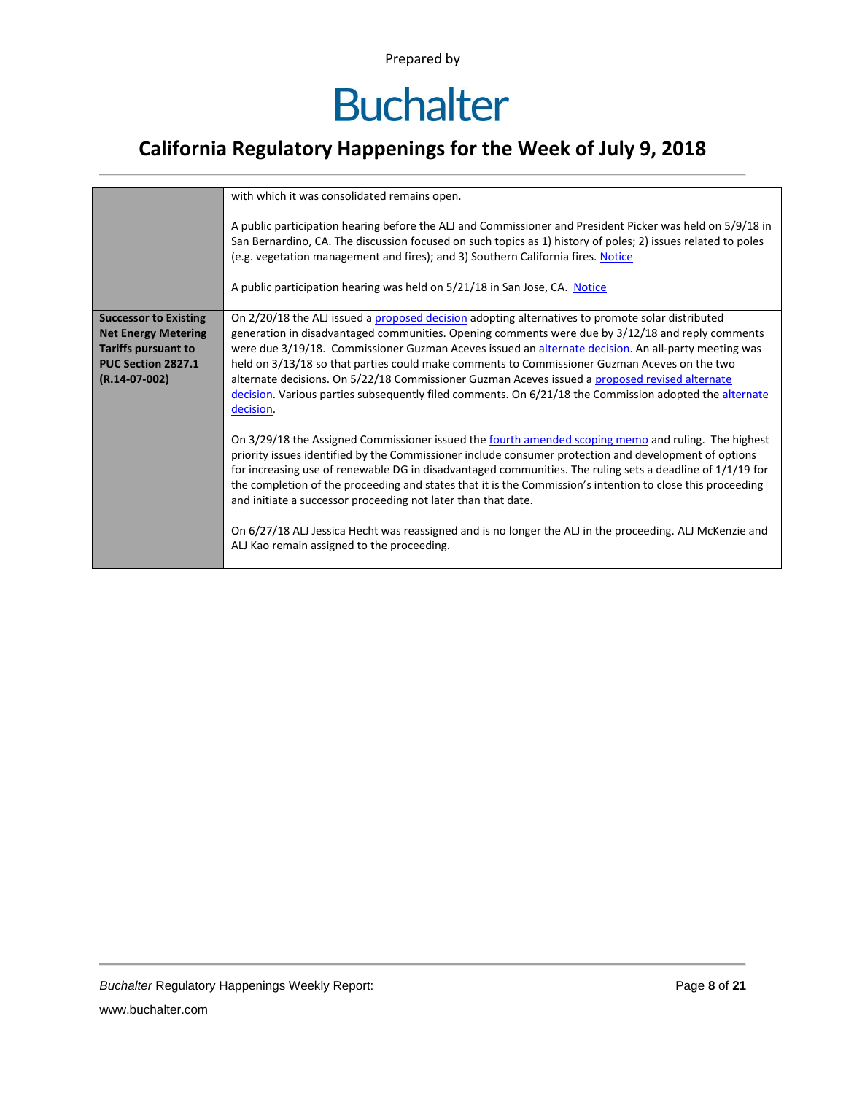### **California Regulatory Happenings for the Week of July 9, 2018**

|                                                                                                                                   | with which it was consolidated remains open.<br>A public participation hearing before the ALJ and Commissioner and President Picker was held on 5/9/18 in<br>San Bernardino, CA. The discussion focused on such topics as 1) history of poles; 2) issues related to poles<br>(e.g. vegetation management and fires); and 3) Southern California fires. Notice<br>A public participation hearing was held on 5/21/18 in San Jose, CA. Notice                                                                                                                                                                                                                                                                                                                                                                                                                                                                                                                                                                                                                                                                                                                                                                                                                                                                  |
|-----------------------------------------------------------------------------------------------------------------------------------|--------------------------------------------------------------------------------------------------------------------------------------------------------------------------------------------------------------------------------------------------------------------------------------------------------------------------------------------------------------------------------------------------------------------------------------------------------------------------------------------------------------------------------------------------------------------------------------------------------------------------------------------------------------------------------------------------------------------------------------------------------------------------------------------------------------------------------------------------------------------------------------------------------------------------------------------------------------------------------------------------------------------------------------------------------------------------------------------------------------------------------------------------------------------------------------------------------------------------------------------------------------------------------------------------------------|
|                                                                                                                                   |                                                                                                                                                                                                                                                                                                                                                                                                                                                                                                                                                                                                                                                                                                                                                                                                                                                                                                                                                                                                                                                                                                                                                                                                                                                                                                              |
| <b>Successor to Existing</b><br><b>Net Energy Metering</b><br><b>Tariffs pursuant to</b><br>PUC Section 2827.1<br>$(R.14-07-002)$ | On 2/20/18 the ALJ issued a proposed decision adopting alternatives to promote solar distributed<br>generation in disadvantaged communities. Opening comments were due by 3/12/18 and reply comments<br>were due 3/19/18. Commissioner Guzman Aceves issued an alternate decision. An all-party meeting was<br>held on 3/13/18 so that parties could make comments to Commissioner Guzman Aceves on the two<br>alternate decisions. On 5/22/18 Commissioner Guzman Aceves issued a proposed revised alternate<br>decision. Various parties subsequently filed comments. On 6/21/18 the Commission adopted the alternate<br>decision.<br>On 3/29/18 the Assigned Commissioner issued the fourth amended scoping memo and ruling. The highest<br>priority issues identified by the Commissioner include consumer protection and development of options<br>for increasing use of renewable DG in disadvantaged communities. The ruling sets a deadline of $1/1/19$ for<br>the completion of the proceeding and states that it is the Commission's intention to close this proceeding<br>and initiate a successor proceeding not later than that date.<br>On 6/27/18 ALJ Jessica Hecht was reassigned and is no longer the ALJ in the proceeding. ALJ McKenzie and<br>ALJ Kao remain assigned to the proceeding. |
|                                                                                                                                   |                                                                                                                                                                                                                                                                                                                                                                                                                                                                                                                                                                                                                                                                                                                                                                                                                                                                                                                                                                                                                                                                                                                                                                                                                                                                                                              |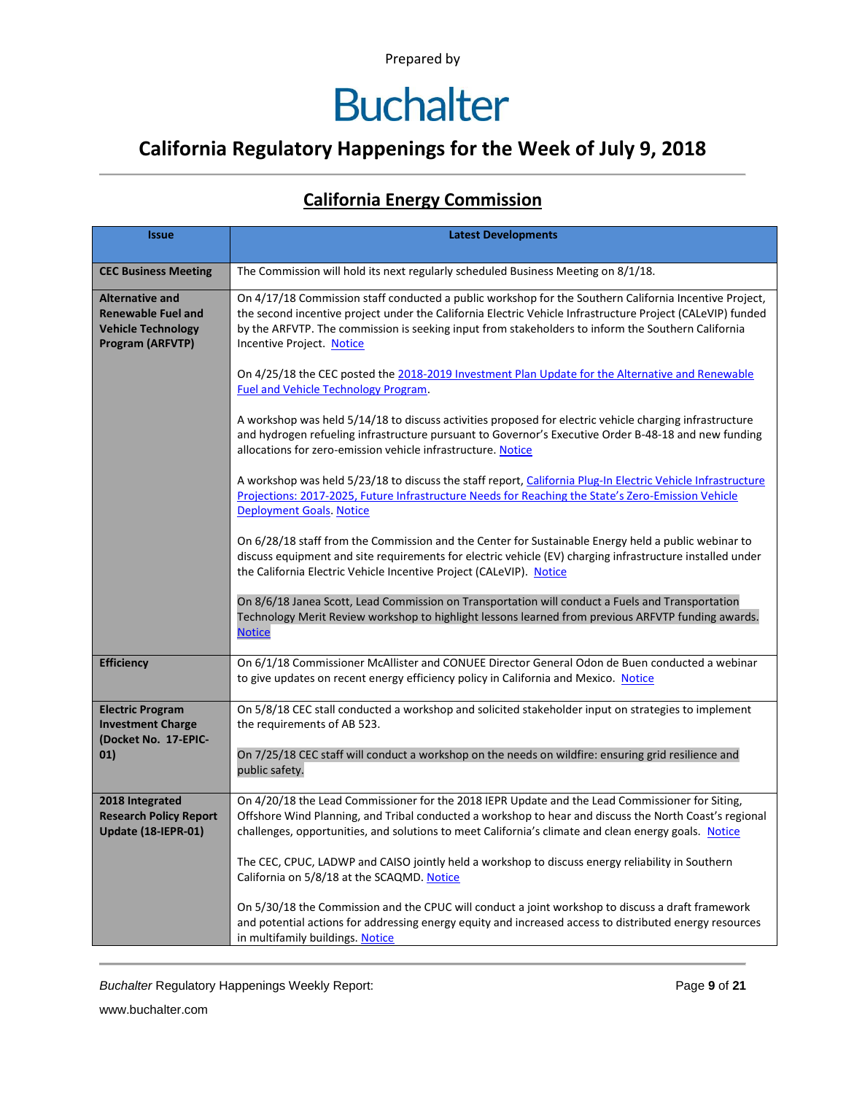### **California Regulatory Happenings for the Week of July 9, 2018**

| <b>Issue</b>                                                                                         | <b>Latest Developments</b>                                                                                                                                                                                                                                                                                                                              |
|------------------------------------------------------------------------------------------------------|---------------------------------------------------------------------------------------------------------------------------------------------------------------------------------------------------------------------------------------------------------------------------------------------------------------------------------------------------------|
| <b>CEC Business Meeting</b>                                                                          | The Commission will hold its next regularly scheduled Business Meeting on 8/1/18.                                                                                                                                                                                                                                                                       |
| <b>Alternative and</b><br><b>Renewable Fuel and</b><br><b>Vehicle Technology</b><br>Program (ARFVTP) | On 4/17/18 Commission staff conducted a public workshop for the Southern California Incentive Project,<br>the second incentive project under the California Electric Vehicle Infrastructure Project (CALeVIP) funded<br>by the ARFVTP. The commission is seeking input from stakeholders to inform the Southern California<br>Incentive Project. Notice |
|                                                                                                      | On 4/25/18 the CEC posted the 2018-2019 Investment Plan Update for the Alternative and Renewable<br><b>Fuel and Vehicle Technology Program.</b>                                                                                                                                                                                                         |
|                                                                                                      | A workshop was held 5/14/18 to discuss activities proposed for electric vehicle charging infrastructure<br>and hydrogen refueling infrastructure pursuant to Governor's Executive Order B-48-18 and new funding<br>allocations for zero-emission vehicle infrastructure. Notice                                                                         |
|                                                                                                      | A workshop was held 5/23/18 to discuss the staff report, California Plug-In Electric Vehicle Infrastructure<br>Projections: 2017-2025, Future Infrastructure Needs for Reaching the State's Zero-Emission Vehicle<br>Deployment Goals. Notice                                                                                                           |
|                                                                                                      | On 6/28/18 staff from the Commission and the Center for Sustainable Energy held a public webinar to<br>discuss equipment and site requirements for electric vehicle (EV) charging infrastructure installed under<br>the California Electric Vehicle Incentive Project (CALeVIP). Notice                                                                 |
|                                                                                                      | On 8/6/18 Janea Scott, Lead Commission on Transportation will conduct a Fuels and Transportation<br>Technology Merit Review workshop to highlight lessons learned from previous ARFVTP funding awards.<br><b>Notice</b>                                                                                                                                 |
| <b>Efficiency</b>                                                                                    | On 6/1/18 Commissioner McAllister and CONUEE Director General Odon de Buen conducted a webinar<br>to give updates on recent energy efficiency policy in California and Mexico. Notice                                                                                                                                                                   |
| <b>Electric Program</b><br><b>Investment Charge</b><br>(Docket No. 17-EPIC-<br>01)                   | On 5/8/18 CEC stall conducted a workshop and solicited stakeholder input on strategies to implement<br>the requirements of AB 523.                                                                                                                                                                                                                      |
|                                                                                                      | On 7/25/18 CEC staff will conduct a workshop on the needs on wildfire: ensuring grid resilience and<br>public safety.                                                                                                                                                                                                                                   |
| 2018 Integrated<br><b>Research Policy Report</b><br>Update (18-IEPR-01)                              | On 4/20/18 the Lead Commissioner for the 2018 IEPR Update and the Lead Commissioner for Siting,<br>Offshore Wind Planning, and Tribal conducted a workshop to hear and discuss the North Coast's regional<br>challenges, opportunities, and solutions to meet California's climate and clean energy goals. Notice                                       |
|                                                                                                      | The CEC, CPUC, LADWP and CAISO jointly held a workshop to discuss energy reliability in Southern<br>California on 5/8/18 at the SCAQMD. Notice                                                                                                                                                                                                          |
|                                                                                                      | On 5/30/18 the Commission and the CPUC will conduct a joint workshop to discuss a draft framework<br>and potential actions for addressing energy equity and increased access to distributed energy resources<br>in multifamily buildings. Notice                                                                                                        |

#### **California Energy Commission**

**Buchalter Regulatory Happenings Weekly Report:** Page 9 of 21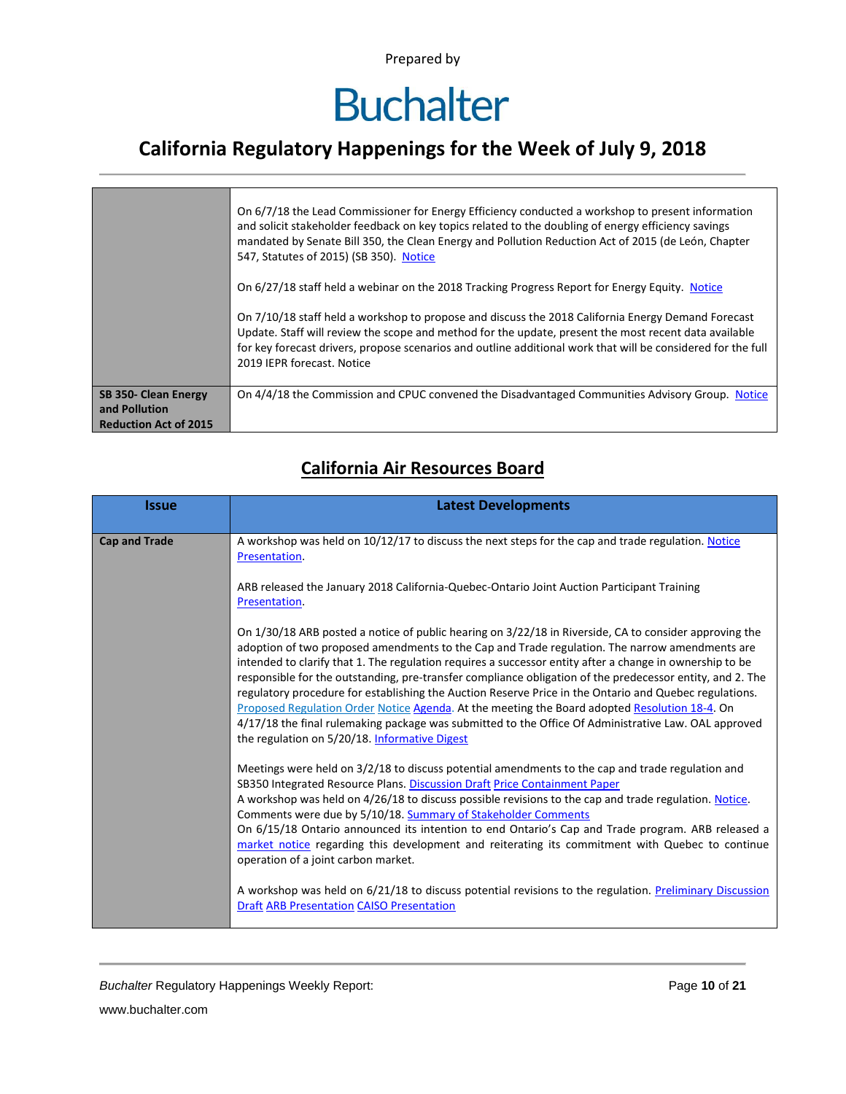## **Buchalter**

### **California Regulatory Happenings for the Week of July 9, 2018**

|                                                                       | On 6/7/18 the Lead Commissioner for Energy Efficiency conducted a workshop to present information<br>and solicit stakeholder feedback on key topics related to the doubling of energy efficiency savings<br>mandated by Senate Bill 350, the Clean Energy and Pollution Reduction Act of 2015 (de León, Chapter<br>547, Statutes of 2015) (SB 350). Notice<br>On 6/27/18 staff held a webinar on the 2018 Tracking Progress Report for Energy Equity. Notice<br>On 7/10/18 staff held a workshop to propose and discuss the 2018 California Energy Demand Forecast<br>Update. Staff will review the scope and method for the update, present the most recent data available<br>for key forecast drivers, propose scenarios and outline additional work that will be considered for the full<br>2019 IEPR forecast. Notice |
|-----------------------------------------------------------------------|---------------------------------------------------------------------------------------------------------------------------------------------------------------------------------------------------------------------------------------------------------------------------------------------------------------------------------------------------------------------------------------------------------------------------------------------------------------------------------------------------------------------------------------------------------------------------------------------------------------------------------------------------------------------------------------------------------------------------------------------------------------------------------------------------------------------------|
| SB 350- Clean Energy<br>and Pollution<br><b>Reduction Act of 2015</b> | On 4/4/18 the Commission and CPUC convened the Disadvantaged Communities Advisory Group. Notice                                                                                                                                                                                                                                                                                                                                                                                                                                                                                                                                                                                                                                                                                                                           |

#### **California Air Resources Board**

| <b>Issue</b>         | <b>Latest Developments</b>                                                                                                                                                                                                                                                                                                                                                                                                                                                                                                                                                                                                                                                                                                                                                                            |
|----------------------|-------------------------------------------------------------------------------------------------------------------------------------------------------------------------------------------------------------------------------------------------------------------------------------------------------------------------------------------------------------------------------------------------------------------------------------------------------------------------------------------------------------------------------------------------------------------------------------------------------------------------------------------------------------------------------------------------------------------------------------------------------------------------------------------------------|
| <b>Cap and Trade</b> | A workshop was held on 10/12/17 to discuss the next steps for the cap and trade regulation. Notice<br>Presentation.                                                                                                                                                                                                                                                                                                                                                                                                                                                                                                                                                                                                                                                                                   |
|                      | ARB released the January 2018 California-Quebec-Ontario Joint Auction Participant Training<br>Presentation.                                                                                                                                                                                                                                                                                                                                                                                                                                                                                                                                                                                                                                                                                           |
|                      | On 1/30/18 ARB posted a notice of public hearing on 3/22/18 in Riverside, CA to consider approving the<br>adoption of two proposed amendments to the Cap and Trade regulation. The narrow amendments are<br>intended to clarify that 1. The regulation requires a successor entity after a change in ownership to be<br>responsible for the outstanding, pre-transfer compliance obligation of the predecessor entity, and 2. The<br>regulatory procedure for establishing the Auction Reserve Price in the Ontario and Quebec regulations.<br>Proposed Regulation Order Notice Agenda. At the meeting the Board adopted Resolution 18-4. On<br>4/17/18 the final rulemaking package was submitted to the Office Of Administrative Law. OAL approved<br>the regulation on 5/20/18. Informative Digest |
|                      | Meetings were held on 3/2/18 to discuss potential amendments to the cap and trade regulation and<br>SB350 Integrated Resource Plans. Discussion Draft Price Containment Paper<br>A workshop was held on 4/26/18 to discuss possible revisions to the cap and trade regulation. Notice.<br>Comments were due by 5/10/18. Summary of Stakeholder Comments                                                                                                                                                                                                                                                                                                                                                                                                                                               |
|                      | On 6/15/18 Ontario announced its intention to end Ontario's Cap and Trade program. ARB released a<br>market notice regarding this development and reiterating its commitment with Quebec to continue<br>operation of a joint carbon market.                                                                                                                                                                                                                                                                                                                                                                                                                                                                                                                                                           |
|                      | A workshop was held on 6/21/18 to discuss potential revisions to the regulation. Preliminary Discussion<br><b>Draft ARB Presentation CAISO Presentation</b>                                                                                                                                                                                                                                                                                                                                                                                                                                                                                                                                                                                                                                           |

*Buchalter* Regulatory Happenings Weekly Report: Page **10** of **21**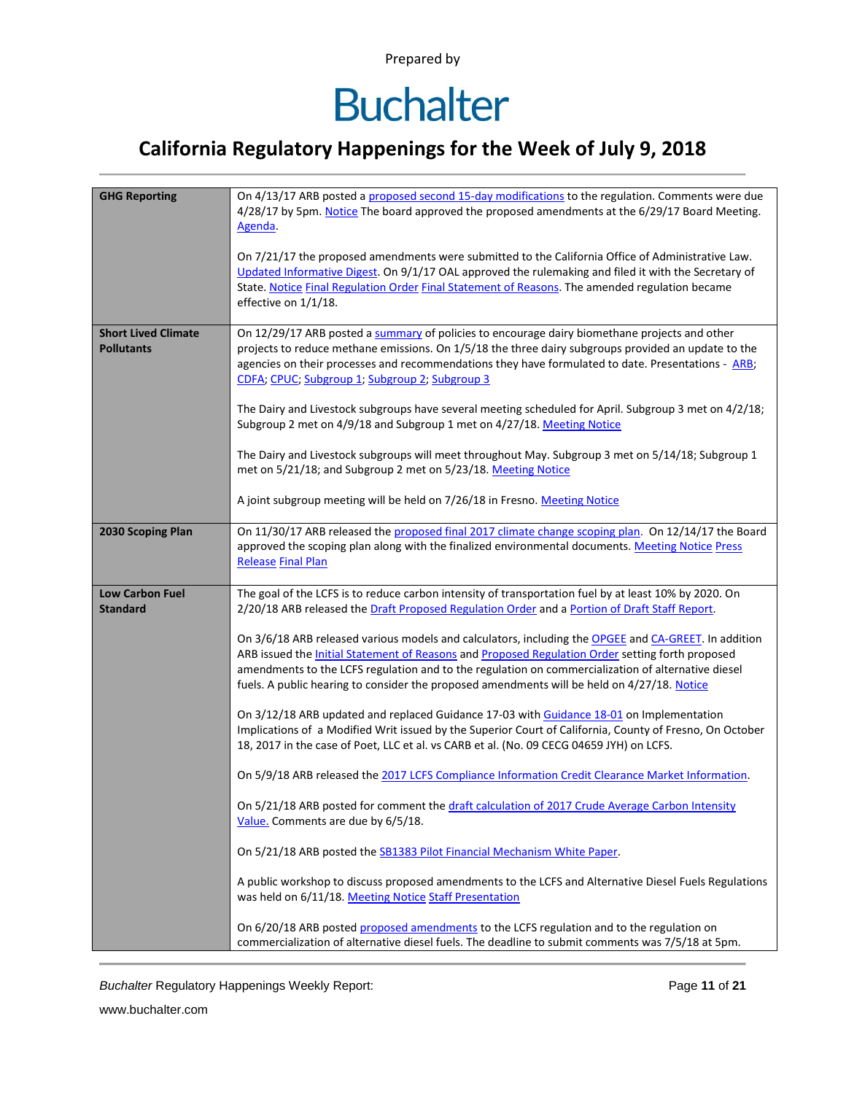### **California Regulatory Happenings for the Week of July 9, 2018**

| <b>GHG Reporting</b>                            | On 4/13/17 ARB posted a proposed second 15-day modifications to the regulation. Comments were due<br>4/28/17 by 5pm. Notice The board approved the proposed amendments at the 6/29/17 Board Meeting.<br>Agenda.<br>On 7/21/17 the proposed amendments were submitted to the California Office of Administrative Law.<br>Updated Informative Digest. On 9/1/17 OAL approved the rulemaking and filed it with the Secretary of<br>State. Notice Final Regulation Order Final Statement of Reasons. The amended regulation became<br>effective on 1/1/18.                                                                              |
|-------------------------------------------------|-------------------------------------------------------------------------------------------------------------------------------------------------------------------------------------------------------------------------------------------------------------------------------------------------------------------------------------------------------------------------------------------------------------------------------------------------------------------------------------------------------------------------------------------------------------------------------------------------------------------------------------|
| <b>Short Lived Climate</b><br><b>Pollutants</b> | On 12/29/17 ARB posted a summary of policies to encourage dairy biomethane projects and other<br>projects to reduce methane emissions. On 1/5/18 the three dairy subgroups provided an update to the<br>agencies on their processes and recommendations they have formulated to date. Presentations - ARB;<br>CDFA; CPUC; Subgroup 1; Subgroup 2; Subgroup 3<br>The Dairy and Livestock subgroups have several meeting scheduled for April. Subgroup 3 met on 4/2/18;<br>Subgroup 2 met on 4/9/18 and Subgroup 1 met on 4/27/18. Meeting Notice                                                                                     |
|                                                 | The Dairy and Livestock subgroups will meet throughout May. Subgroup 3 met on 5/14/18; Subgroup 1<br>met on 5/21/18; and Subgroup 2 met on 5/23/18. Meeting Notice<br>A joint subgroup meeting will be held on 7/26/18 in Fresno. Meeting Notice                                                                                                                                                                                                                                                                                                                                                                                    |
| 2030 Scoping Plan                               | On 11/30/17 ARB released the proposed final 2017 climate change scoping plan. On 12/14/17 the Board<br>approved the scoping plan along with the finalized environmental documents. Meeting Notice Press<br><b>Release Final Plan</b>                                                                                                                                                                                                                                                                                                                                                                                                |
| <b>Low Carbon Fuel</b><br><b>Standard</b>       | The goal of the LCFS is to reduce carbon intensity of transportation fuel by at least 10% by 2020. On<br>2/20/18 ARB released the Draft Proposed Regulation Order and a Portion of Draft Staff Report.                                                                                                                                                                                                                                                                                                                                                                                                                              |
|                                                 | On 3/6/18 ARB released various models and calculators, including the OPGEE and CA-GREET. In addition<br>ARB issued the <b>Initial Statement of Reasons</b> and <b>Proposed Regulation Order</b> setting forth proposed<br>amendments to the LCFS regulation and to the regulation on commercialization of alternative diesel<br>fuels. A public hearing to consider the proposed amendments will be held on 4/27/18. Notice<br>On 3/12/18 ARB updated and replaced Guidance 17-03 with Guidance 18-01 on Implementation<br>Implications of a Modified Writ issued by the Superior Court of California, County of Fresno, On October |
|                                                 | 18, 2017 in the case of Poet, LLC et al. vs CARB et al. (No. 09 CECG 04659 JYH) on LCFS.                                                                                                                                                                                                                                                                                                                                                                                                                                                                                                                                            |
|                                                 | On 5/9/18 ARB released the 2017 LCFS Compliance Information Credit Clearance Market Information.                                                                                                                                                                                                                                                                                                                                                                                                                                                                                                                                    |
|                                                 | On 5/21/18 ARB posted for comment the draft calculation of 2017 Crude Average Carbon Intensity<br>Value. Comments are due by 6/5/18.                                                                                                                                                                                                                                                                                                                                                                                                                                                                                                |
|                                                 | On 5/21/18 ARB posted the SB1383 Pilot Financial Mechanism White Paper.                                                                                                                                                                                                                                                                                                                                                                                                                                                                                                                                                             |
|                                                 | A public workshop to discuss proposed amendments to the LCFS and Alternative Diesel Fuels Regulations<br>was held on 6/11/18. Meeting Notice Staff Presentation                                                                                                                                                                                                                                                                                                                                                                                                                                                                     |
|                                                 | On 6/20/18 ARB posted proposed amendments to the LCFS regulation and to the regulation on<br>commercialization of alternative diesel fuels. The deadline to submit comments was 7/5/18 at 5pm.                                                                                                                                                                                                                                                                                                                                                                                                                                      |

*Buchalter* Regulatory Happenings Weekly Report: Page **11** of **21**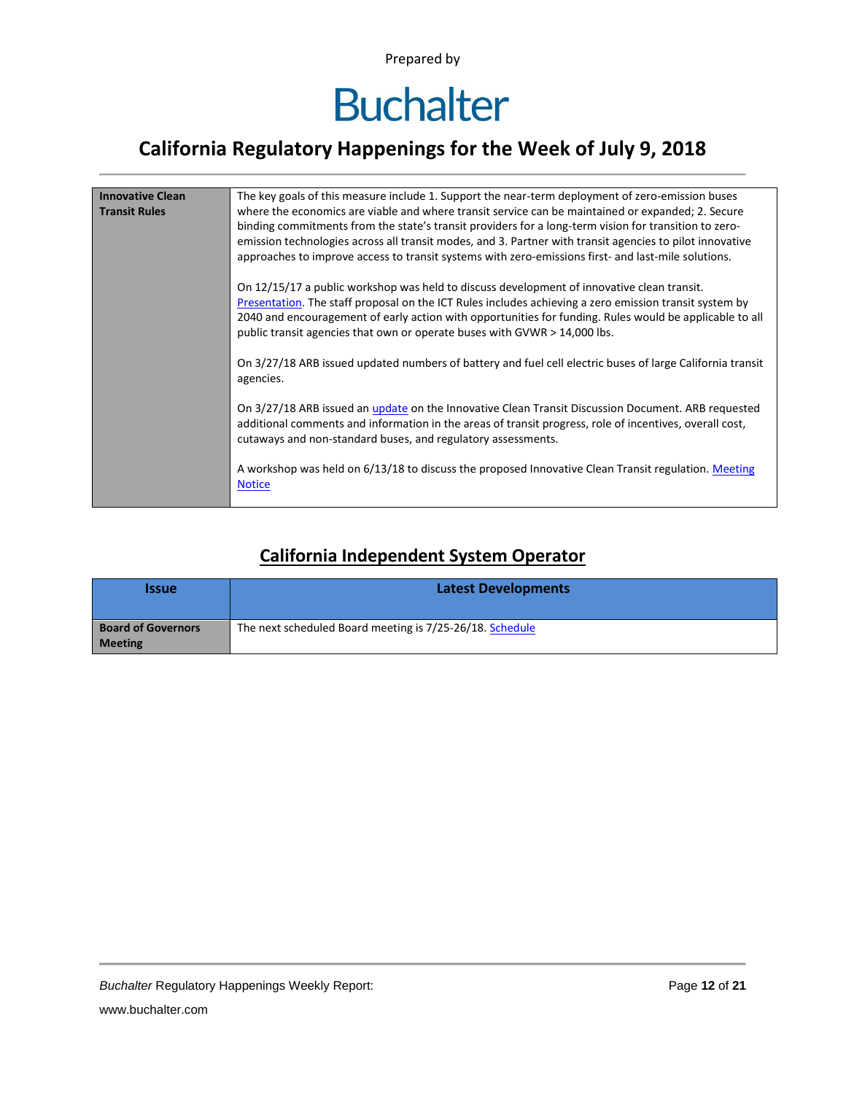

### **California Regulatory Happenings for the Week of July 9, 2018**

| <b>Innovative Clean</b> | The key goals of this measure include 1. Support the near-term deployment of zero-emission buses                                                                                                                                                                                                                                                                                                                              |
|-------------------------|-------------------------------------------------------------------------------------------------------------------------------------------------------------------------------------------------------------------------------------------------------------------------------------------------------------------------------------------------------------------------------------------------------------------------------|
| <b>Transit Rules</b>    | where the economics are viable and where transit service can be maintained or expanded; 2. Secure<br>binding commitments from the state's transit providers for a long-term vision for transition to zero-<br>emission technologies across all transit modes, and 3. Partner with transit agencies to pilot innovative<br>approaches to improve access to transit systems with zero-emissions first- and last-mile solutions. |
|                         | On 12/15/17 a public workshop was held to discuss development of innovative clean transit.<br>Presentation. The staff proposal on the ICT Rules includes achieving a zero emission transit system by<br>2040 and encouragement of early action with opportunities for funding. Rules would be applicable to all<br>public transit agencies that own or operate buses with GVWR > 14,000 lbs.                                  |
|                         | On 3/27/18 ARB issued updated numbers of battery and fuel cell electric buses of large California transit<br>agencies.                                                                                                                                                                                                                                                                                                        |
|                         | On 3/27/18 ARB issued an update on the Innovative Clean Transit Discussion Document. ARB requested<br>additional comments and information in the areas of transit progress, role of incentives, overall cost,<br>cutaways and non-standard buses, and regulatory assessments.                                                                                                                                                 |
|                         | A workshop was held on 6/13/18 to discuss the proposed Innovative Clean Transit regulation. Meeting<br><b>Notice</b>                                                                                                                                                                                                                                                                                                          |

#### **California Independent System Operator**

| <b>Issue</b>                                | <b>Latest Developments</b>                               |  |  |  |
|---------------------------------------------|----------------------------------------------------------|--|--|--|
| <b>Board of Governors</b><br><b>Meeting</b> | The next scheduled Board meeting is 7/25-26/18. Schedule |  |  |  |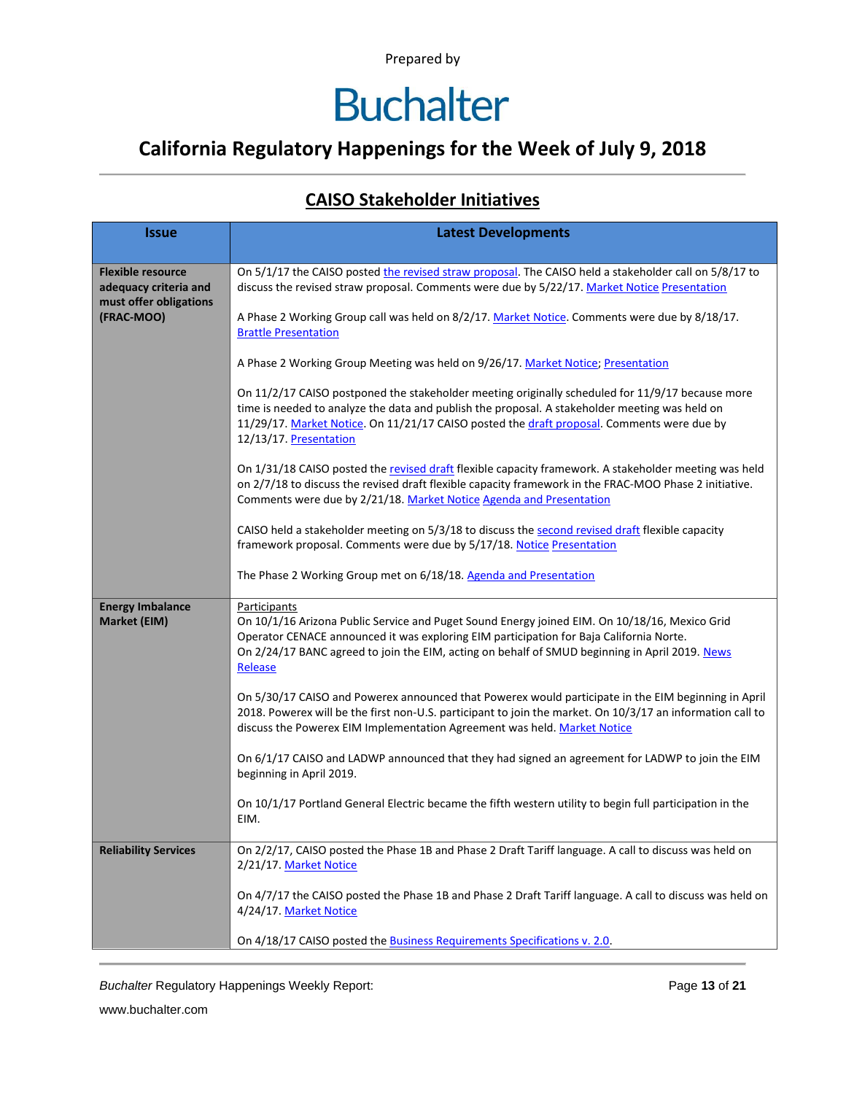### **California Regulatory Happenings for the Week of July 9, 2018**

#### **CAISO Stakeholder Initiatives**

| <b>Issue</b>                                                                | <b>Latest Developments</b>                                                                                                                                                                                                                                                                                                 |  |  |  |  |  |
|-----------------------------------------------------------------------------|----------------------------------------------------------------------------------------------------------------------------------------------------------------------------------------------------------------------------------------------------------------------------------------------------------------------------|--|--|--|--|--|
|                                                                             |                                                                                                                                                                                                                                                                                                                            |  |  |  |  |  |
| <b>Flexible resource</b><br>adequacy criteria and<br>must offer obligations | On 5/1/17 the CAISO posted the revised straw proposal. The CAISO held a stakeholder call on 5/8/17 to<br>discuss the revised straw proposal. Comments were due by 5/22/17. Market Notice Presentation                                                                                                                      |  |  |  |  |  |
| (FRAC-MOO)                                                                  | A Phase 2 Working Group call was held on 8/2/17. Market Notice. Comments were due by 8/18/17.<br><b>Brattle Presentation</b>                                                                                                                                                                                               |  |  |  |  |  |
|                                                                             | A Phase 2 Working Group Meeting was held on 9/26/17. Market Notice; Presentation                                                                                                                                                                                                                                           |  |  |  |  |  |
|                                                                             | On 11/2/17 CAISO postponed the stakeholder meeting originally scheduled for 11/9/17 because more<br>time is needed to analyze the data and publish the proposal. A stakeholder meeting was held on<br>11/29/17. Market Notice. On 11/21/17 CAISO posted the draft proposal. Comments were due by<br>12/13/17. Presentation |  |  |  |  |  |
|                                                                             | On 1/31/18 CAISO posted the revised draft flexible capacity framework. A stakeholder meeting was held<br>on 2/7/18 to discuss the revised draft flexible capacity framework in the FRAC-MOO Phase 2 initiative.<br>Comments were due by 2/21/18. Market Notice Agenda and Presentation                                     |  |  |  |  |  |
|                                                                             | CAISO held a stakeholder meeting on 5/3/18 to discuss the second revised draft flexible capacity<br>framework proposal. Comments were due by 5/17/18. Notice Presentation                                                                                                                                                  |  |  |  |  |  |
|                                                                             | The Phase 2 Working Group met on 6/18/18. Agenda and Presentation                                                                                                                                                                                                                                                          |  |  |  |  |  |
| <b>Energy Imbalance</b><br>Market (EIM)                                     | Participants<br>On 10/1/16 Arizona Public Service and Puget Sound Energy joined EIM. On 10/18/16, Mexico Grid<br>Operator CENACE announced it was exploring EIM participation for Baja California Norte.<br>On 2/24/17 BANC agreed to join the EIM, acting on behalf of SMUD beginning in April 2019. News<br>Release      |  |  |  |  |  |
|                                                                             | On 5/30/17 CAISO and Powerex announced that Powerex would participate in the EIM beginning in April<br>2018. Powerex will be the first non-U.S. participant to join the market. On 10/3/17 an information call to<br>discuss the Powerex EIM Implementation Agreement was held. Market Notice                              |  |  |  |  |  |
|                                                                             | On 6/1/17 CAISO and LADWP announced that they had signed an agreement for LADWP to join the EIM<br>beginning in April 2019.                                                                                                                                                                                                |  |  |  |  |  |
|                                                                             | On 10/1/17 Portland General Electric became the fifth western utility to begin full participation in the<br>EIM.                                                                                                                                                                                                           |  |  |  |  |  |
| <b>Reliability Services</b>                                                 | On 2/2/17, CAISO posted the Phase 1B and Phase 2 Draft Tariff language. A call to discuss was held on<br>2/21/17. Market Notice                                                                                                                                                                                            |  |  |  |  |  |
|                                                                             | On 4/7/17 the CAISO posted the Phase 1B and Phase 2 Draft Tariff language. A call to discuss was held on<br>4/24/17. Market Notice                                                                                                                                                                                         |  |  |  |  |  |
|                                                                             | On 4/18/17 CAISO posted the <b>Business Requirements Specifications v. 2.0</b> .                                                                                                                                                                                                                                           |  |  |  |  |  |

**Buchalter Regulatory Happenings Weekly Report:** Page 13 of 21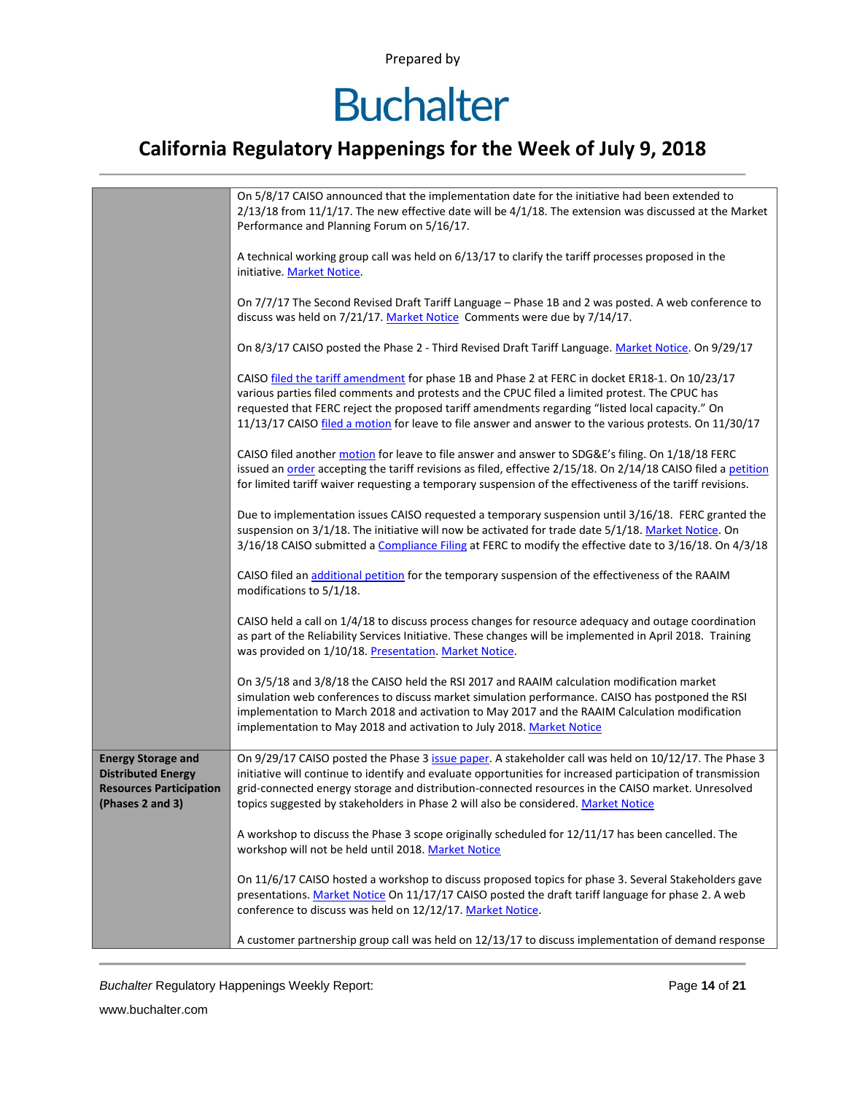## **Buchalter**

### **California Regulatory Happenings for the Week of July 9, 2018**

|                                                        | On 5/8/17 CAISO announced that the implementation date for the initiative had been extended to<br>$2/13/18$ from 11/1/17. The new effective date will be $4/1/18$ . The extension was discussed at the Market<br>Performance and Planning Forum on 5/16/17.                                                                                                                                                    |  |  |  |
|--------------------------------------------------------|----------------------------------------------------------------------------------------------------------------------------------------------------------------------------------------------------------------------------------------------------------------------------------------------------------------------------------------------------------------------------------------------------------------|--|--|--|
|                                                        | A technical working group call was held on 6/13/17 to clarify the tariff processes proposed in the<br>initiative. Market Notice.                                                                                                                                                                                                                                                                               |  |  |  |
|                                                        | On 7/7/17 The Second Revised Draft Tariff Language - Phase 1B and 2 was posted. A web conference to<br>discuss was held on 7/21/17. Market Notice Comments were due by 7/14/17.                                                                                                                                                                                                                                |  |  |  |
|                                                        | On 8/3/17 CAISO posted the Phase 2 - Third Revised Draft Tariff Language. Market Notice. On 9/29/17                                                                                                                                                                                                                                                                                                            |  |  |  |
|                                                        | CAISO filed the tariff amendment for phase 1B and Phase 2 at FERC in docket ER18-1. On 10/23/17<br>various parties filed comments and protests and the CPUC filed a limited protest. The CPUC has<br>requested that FERC reject the proposed tariff amendments regarding "listed local capacity." On<br>11/13/17 CAISO filed a motion for leave to file answer and answer to the various protests. On 11/30/17 |  |  |  |
|                                                        | CAISO filed another motion for leave to file answer and answer to SDG&E's filing. On 1/18/18 FERC<br>issued an order accepting the tariff revisions as filed, effective 2/15/18. On 2/14/18 CAISO filed a petition<br>for limited tariff waiver requesting a temporary suspension of the effectiveness of the tariff revisions.                                                                                |  |  |  |
|                                                        | Due to implementation issues CAISO requested a temporary suspension until 3/16/18. FERC granted the<br>suspension on 3/1/18. The initiative will now be activated for trade date 5/1/18. Market Notice. On<br>3/16/18 CAISO submitted a Compliance Filing at FERC to modify the effective date to 3/16/18. On 4/3/18                                                                                           |  |  |  |
|                                                        | CAISO filed an additional petition for the temporary suspension of the effectiveness of the RAAIM<br>modifications to 5/1/18.                                                                                                                                                                                                                                                                                  |  |  |  |
|                                                        | CAISO held a call on 1/4/18 to discuss process changes for resource adequacy and outage coordination<br>as part of the Reliability Services Initiative. These changes will be implemented in April 2018. Training<br>was provided on 1/10/18. Presentation. Market Notice.                                                                                                                                     |  |  |  |
|                                                        | On 3/5/18 and 3/8/18 the CAISO held the RSI 2017 and RAAIM calculation modification market<br>simulation web conferences to discuss market simulation performance. CAISO has postponed the RSI<br>implementation to March 2018 and activation to May 2017 and the RAAIM Calculation modification<br>implementation to May 2018 and activation to July 2018. Market Notice                                      |  |  |  |
| <b>Energy Storage and</b><br><b>Distributed Energy</b> | On 9/29/17 CAISO posted the Phase 3 issue paper. A stakeholder call was held on 10/12/17. The Phase 3<br>initiative will continue to identify and evaluate opportunities for increased participation of transmission                                                                                                                                                                                           |  |  |  |
| <b>Resources Participation</b>                         | grid-connected energy storage and distribution-connected resources in the CAISO market. Unresolved                                                                                                                                                                                                                                                                                                             |  |  |  |
| (Phases 2 and 3)                                       | topics suggested by stakeholders in Phase 2 will also be considered. Market Notice                                                                                                                                                                                                                                                                                                                             |  |  |  |
|                                                        | A workshop to discuss the Phase 3 scope originally scheduled for 12/11/17 has been cancelled. The<br>workshop will not be held until 2018. Market Notice                                                                                                                                                                                                                                                       |  |  |  |
|                                                        | On 11/6/17 CAISO hosted a workshop to discuss proposed topics for phase 3. Several Stakeholders gave<br>presentations. Market Notice On 11/17/17 CAISO posted the draft tariff language for phase 2. A web<br>conference to discuss was held on 12/12/17. Market Notice.                                                                                                                                       |  |  |  |
|                                                        | A customer partnership group call was held on 12/13/17 to discuss implementation of demand response                                                                                                                                                                                                                                                                                                            |  |  |  |

*Buchalter* Regulatory Happenings Weekly Report: Page **14** of **21**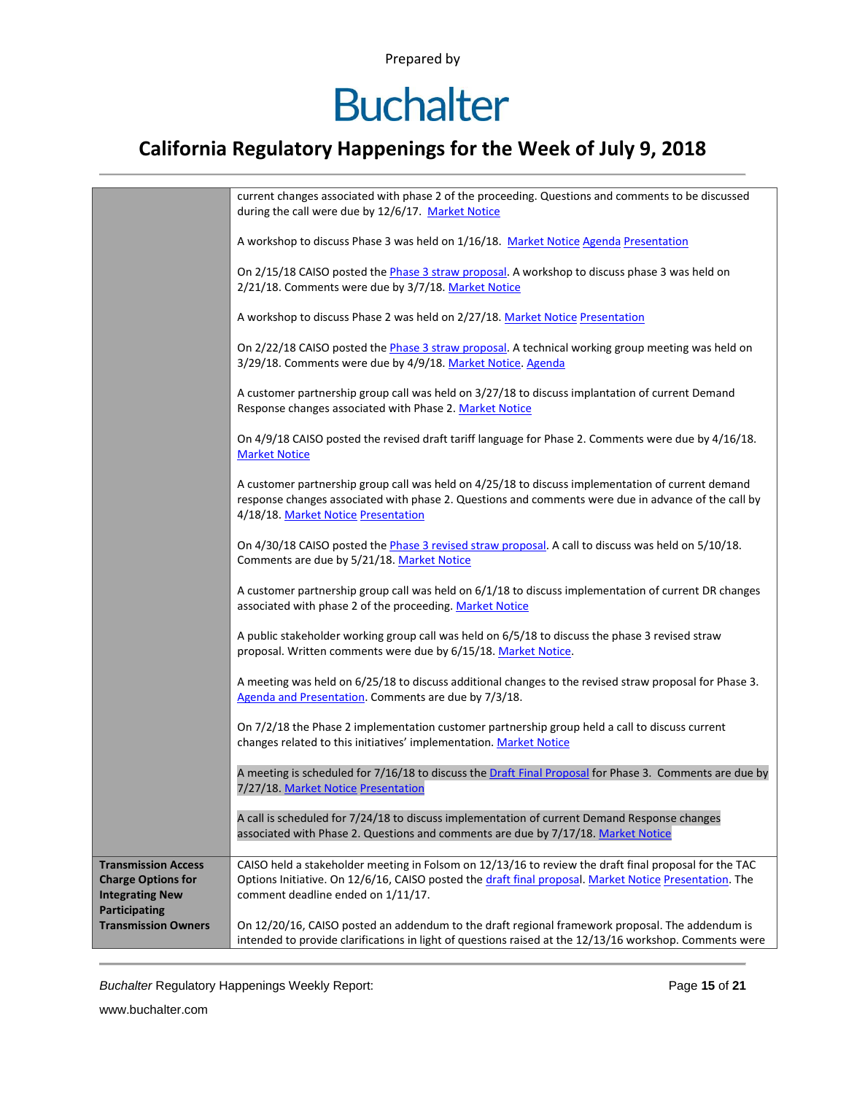## **Buchalter**

### **California Regulatory Happenings for the Week of July 9, 2018**

|                                                         | current changes associated with phase 2 of the proceeding. Questions and comments to be discussed<br>during the call were due by 12/6/17. Market Notice                                                                                         |  |  |  |  |
|---------------------------------------------------------|-------------------------------------------------------------------------------------------------------------------------------------------------------------------------------------------------------------------------------------------------|--|--|--|--|
|                                                         | A workshop to discuss Phase 3 was held on 1/16/18. Market Notice Agenda Presentation                                                                                                                                                            |  |  |  |  |
|                                                         | On 2/15/18 CAISO posted the Phase 3 straw proposal. A workshop to discuss phase 3 was held on<br>2/21/18. Comments were due by 3/7/18. Market Notice                                                                                            |  |  |  |  |
|                                                         | A workshop to discuss Phase 2 was held on 2/27/18. Market Notice Presentation                                                                                                                                                                   |  |  |  |  |
|                                                         | On 2/22/18 CAISO posted the Phase 3 straw proposal. A technical working group meeting was held on<br>3/29/18. Comments were due by 4/9/18. Market Notice. Agenda                                                                                |  |  |  |  |
|                                                         | A customer partnership group call was held on 3/27/18 to discuss implantation of current Demand<br>Response changes associated with Phase 2. Market Notice                                                                                      |  |  |  |  |
|                                                         | On 4/9/18 CAISO posted the revised draft tariff language for Phase 2. Comments were due by 4/16/18.<br><b>Market Notice</b>                                                                                                                     |  |  |  |  |
|                                                         | A customer partnership group call was held on 4/25/18 to discuss implementation of current demand<br>response changes associated with phase 2. Questions and comments were due in advance of the call by<br>4/18/18. Market Notice Presentation |  |  |  |  |
|                                                         | On 4/30/18 CAISO posted the Phase 3 revised straw proposal. A call to discuss was held on 5/10/18.<br>Comments are due by 5/21/18. Market Notice                                                                                                |  |  |  |  |
|                                                         | A customer partnership group call was held on 6/1/18 to discuss implementation of current DR changes<br>associated with phase 2 of the proceeding. Market Notice                                                                                |  |  |  |  |
|                                                         | A public stakeholder working group call was held on 6/5/18 to discuss the phase 3 revised straw<br>proposal. Written comments were due by 6/15/18. Market Notice.                                                                               |  |  |  |  |
|                                                         | A meeting was held on 6/25/18 to discuss additional changes to the revised straw proposal for Phase 3.<br>Agenda and Presentation. Comments are due by 7/3/18.                                                                                  |  |  |  |  |
|                                                         | On 7/2/18 the Phase 2 implementation customer partnership group held a call to discuss current<br>changes related to this initiatives' implementation. Market Notice                                                                            |  |  |  |  |
|                                                         | A meeting is scheduled for 7/16/18 to discuss the Draft Final Proposal for Phase 3. Comments are due by<br>7/27/18. Market Notice Presentation                                                                                                  |  |  |  |  |
|                                                         | A call is scheduled for 7/24/18 to discuss implementation of current Demand Response changes<br>associated with Phase 2. Questions and comments are due by 7/17/18. Market Notice                                                               |  |  |  |  |
| <b>Transmission Access</b><br><b>Charge Options for</b> | CAISO held a stakeholder meeting in Folsom on 12/13/16 to review the draft final proposal for the TAC<br>Options Initiative. On 12/6/16, CAISO posted the draft final proposal. Market Notice Presentation. The                                 |  |  |  |  |
| <b>Integrating New</b><br><b>Participating</b>          | comment deadline ended on 1/11/17.                                                                                                                                                                                                              |  |  |  |  |
| <b>Transmission Owners</b>                              | On 12/20/16, CAISO posted an addendum to the draft regional framework proposal. The addendum is<br>intended to provide clarifications in light of questions raised at the 12/13/16 workshop. Comments were                                      |  |  |  |  |

*Buchalter* Regulatory Happenings Weekly Report: Page **15** of **21**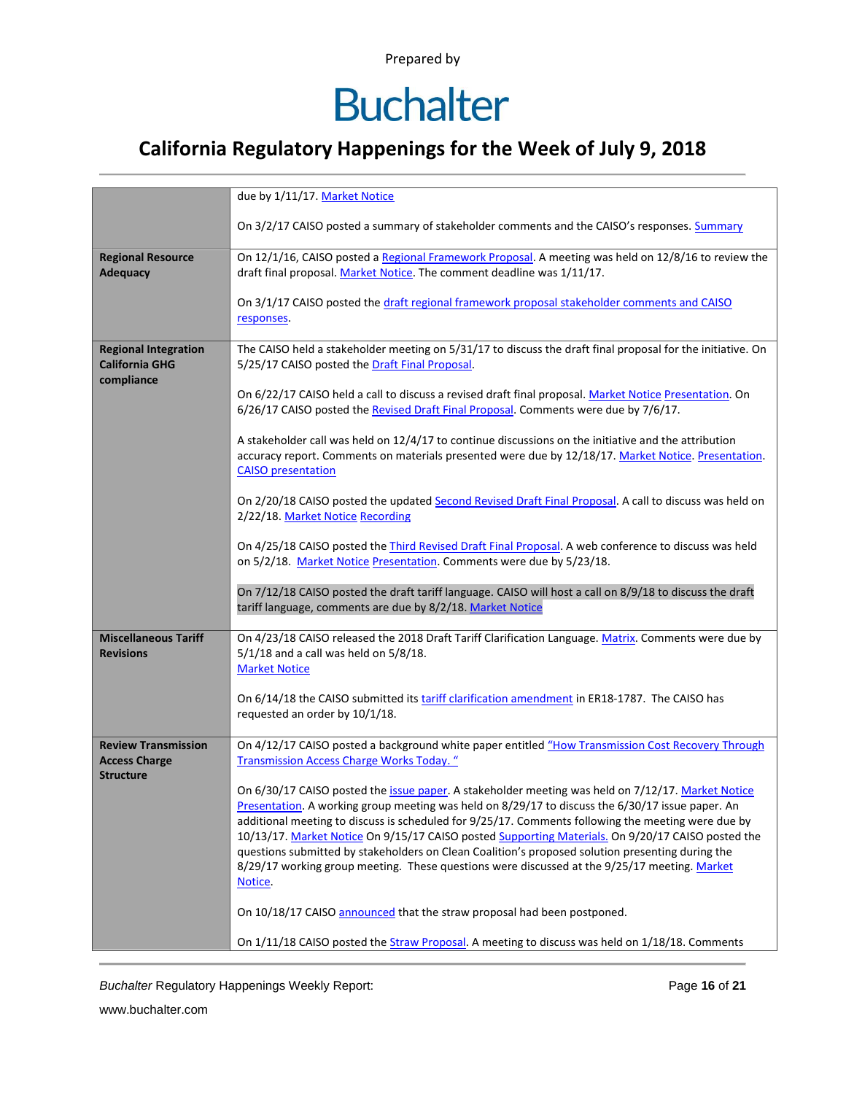## **Buchalter**

### **California Regulatory Happenings for the Week of July 9, 2018**

|                                     | due by 1/11/17. Market Notice                                                                                                                                                                         |  |  |  |  |  |  |
|-------------------------------------|-------------------------------------------------------------------------------------------------------------------------------------------------------------------------------------------------------|--|--|--|--|--|--|
|                                     |                                                                                                                                                                                                       |  |  |  |  |  |  |
|                                     | On 3/2/17 CAISO posted a summary of stakeholder comments and the CAISO's responses. Summary                                                                                                           |  |  |  |  |  |  |
| <b>Regional Resource</b>            | On 12/1/16, CAISO posted a Regional Framework Proposal. A meeting was held on 12/8/16 to review the                                                                                                   |  |  |  |  |  |  |
| <b>Adequacy</b>                     | draft final proposal. Market Notice. The comment deadline was 1/11/17.                                                                                                                                |  |  |  |  |  |  |
|                                     |                                                                                                                                                                                                       |  |  |  |  |  |  |
|                                     | On 3/1/17 CAISO posted the draft regional framework proposal stakeholder comments and CAISO<br>responses.                                                                                             |  |  |  |  |  |  |
|                                     |                                                                                                                                                                                                       |  |  |  |  |  |  |
| <b>Regional Integration</b>         | The CAISO held a stakeholder meeting on 5/31/17 to discuss the draft final proposal for the initiative. On                                                                                            |  |  |  |  |  |  |
| <b>California GHG</b><br>compliance | 5/25/17 CAISO posted the Draft Final Proposal.                                                                                                                                                        |  |  |  |  |  |  |
|                                     | On 6/22/17 CAISO held a call to discuss a revised draft final proposal. Market Notice Presentation. On                                                                                                |  |  |  |  |  |  |
|                                     | 6/26/17 CAISO posted the Revised Draft Final Proposal. Comments were due by 7/6/17.                                                                                                                   |  |  |  |  |  |  |
|                                     | A stakeholder call was held on 12/4/17 to continue discussions on the initiative and the attribution                                                                                                  |  |  |  |  |  |  |
|                                     | accuracy report. Comments on materials presented were due by 12/18/17. Market Notice. Presentation.                                                                                                   |  |  |  |  |  |  |
|                                     | <b>CAISO</b> presentation                                                                                                                                                                             |  |  |  |  |  |  |
|                                     | On 2/20/18 CAISO posted the updated Second Revised Draft Final Proposal. A call to discuss was held on                                                                                                |  |  |  |  |  |  |
|                                     | 2/22/18. Market Notice Recording                                                                                                                                                                      |  |  |  |  |  |  |
|                                     |                                                                                                                                                                                                       |  |  |  |  |  |  |
|                                     | On 4/25/18 CAISO posted the <i>Third Revised Draft Final Proposal</i> . A web conference to discuss was held<br>on 5/2/18. Market Notice Presentation. Comments were due by 5/23/18.                  |  |  |  |  |  |  |
|                                     |                                                                                                                                                                                                       |  |  |  |  |  |  |
|                                     | On 7/12/18 CAISO posted the draft tariff language. CAISO will host a call on 8/9/18 to discuss the draft<br>tariff language, comments are due by 8/2/18. Market Notice                                |  |  |  |  |  |  |
|                                     |                                                                                                                                                                                                       |  |  |  |  |  |  |
| <b>Miscellaneous Tariff</b>         | On 4/23/18 CAISO released the 2018 Draft Tariff Clarification Language. Matrix. Comments were due by                                                                                                  |  |  |  |  |  |  |
| <b>Revisions</b>                    | $5/1/18$ and a call was held on $5/8/18$ .<br><b>Market Notice</b>                                                                                                                                    |  |  |  |  |  |  |
|                                     |                                                                                                                                                                                                       |  |  |  |  |  |  |
|                                     | On 6/14/18 the CAISO submitted its tariff clarification amendment in ER18-1787. The CAISO has                                                                                                         |  |  |  |  |  |  |
|                                     | requested an order by 10/1/18.                                                                                                                                                                        |  |  |  |  |  |  |
| <b>Review Transmission</b>          | On 4/12/17 CAISO posted a background white paper entitled "How Transmission Cost Recovery Through                                                                                                     |  |  |  |  |  |  |
| <b>Access Charge</b>                | <b>Transmission Access Charge Works Today.</b> "                                                                                                                                                      |  |  |  |  |  |  |
| <b>Structure</b>                    | On 6/30/17 CAISO posted the issue paper. A stakeholder meeting was held on 7/12/17. Market Notice                                                                                                     |  |  |  |  |  |  |
|                                     | Presentation. A working group meeting was held on 8/29/17 to discuss the 6/30/17 issue paper. An                                                                                                      |  |  |  |  |  |  |
|                                     | additional meeting to discuss is scheduled for 9/25/17. Comments following the meeting were due by                                                                                                    |  |  |  |  |  |  |
|                                     | 10/13/17. Market Notice On 9/15/17 CAISO posted Supporting Materials. On 9/20/17 CAISO posted the<br>questions submitted by stakeholders on Clean Coalition's proposed solution presenting during the |  |  |  |  |  |  |
|                                     | 8/29/17 working group meeting. These questions were discussed at the 9/25/17 meeting. Market                                                                                                          |  |  |  |  |  |  |
|                                     | Notice.                                                                                                                                                                                               |  |  |  |  |  |  |
|                                     | On 10/18/17 CAISO announced that the straw proposal had been postponed.                                                                                                                               |  |  |  |  |  |  |
|                                     |                                                                                                                                                                                                       |  |  |  |  |  |  |
|                                     | On 1/11/18 CAISO posted the Straw Proposal. A meeting to discuss was held on 1/18/18. Comments                                                                                                        |  |  |  |  |  |  |

*Buchalter* Regulatory Happenings Weekly Report: Page **16** of **21**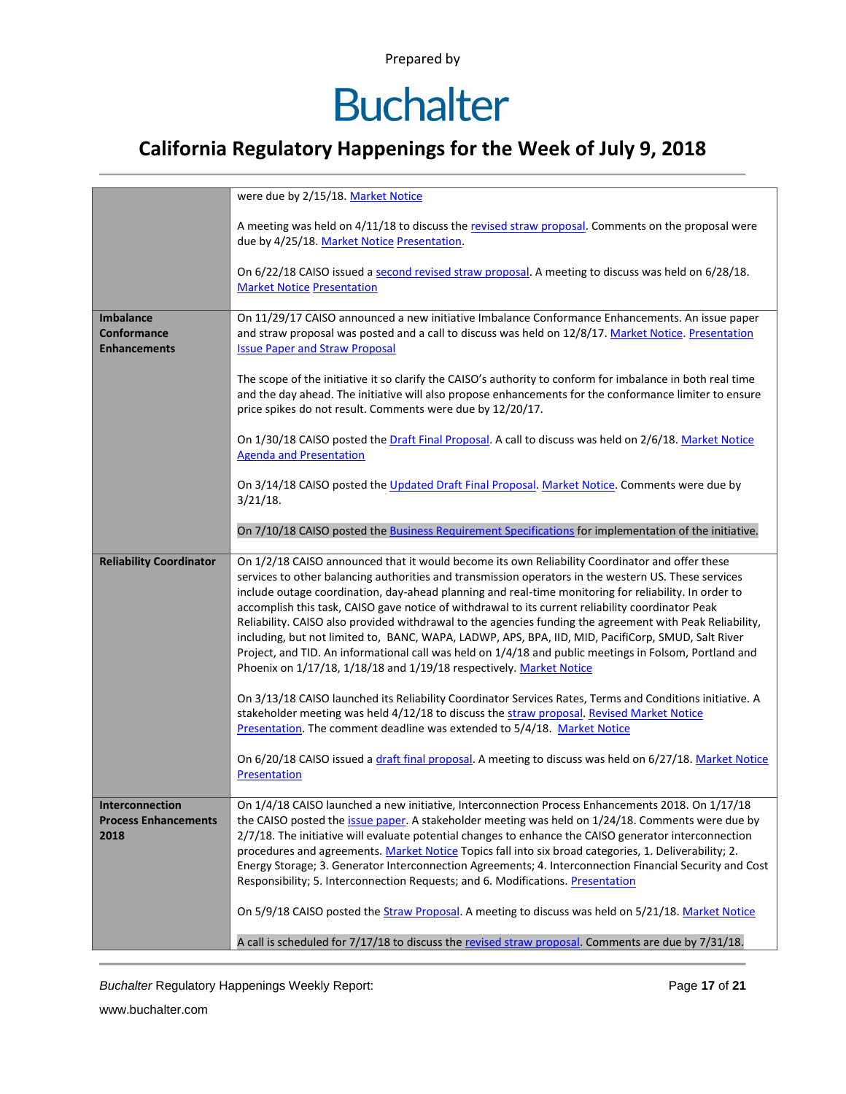## **Buchalter**

### **California Regulatory Happenings for the Week of July 9, 2018**

|                                                        | were due by 2/15/18. Market Notice                                                                                                                                                                                                                                                                                                                                                                                                                                                                                                                                                                                                                                                                                                                                                                                      |  |  |  |  |  |
|--------------------------------------------------------|-------------------------------------------------------------------------------------------------------------------------------------------------------------------------------------------------------------------------------------------------------------------------------------------------------------------------------------------------------------------------------------------------------------------------------------------------------------------------------------------------------------------------------------------------------------------------------------------------------------------------------------------------------------------------------------------------------------------------------------------------------------------------------------------------------------------------|--|--|--|--|--|
|                                                        | A meeting was held on 4/11/18 to discuss the revised straw proposal. Comments on the proposal were<br>due by 4/25/18. Market Notice Presentation.                                                                                                                                                                                                                                                                                                                                                                                                                                                                                                                                                                                                                                                                       |  |  |  |  |  |
|                                                        | On 6/22/18 CAISO issued a second revised straw proposal. A meeting to discuss was held on 6/28/18.<br><b>Market Notice Presentation</b>                                                                                                                                                                                                                                                                                                                                                                                                                                                                                                                                                                                                                                                                                 |  |  |  |  |  |
| <b>Imbalance</b><br>Conformance<br><b>Enhancements</b> | On 11/29/17 CAISO announced a new initiative Imbalance Conformance Enhancements. An issue paper<br>and straw proposal was posted and a call to discuss was held on 12/8/17. Market Notice. Presentation<br><b>Issue Paper and Straw Proposal</b>                                                                                                                                                                                                                                                                                                                                                                                                                                                                                                                                                                        |  |  |  |  |  |
|                                                        | The scope of the initiative it so clarify the CAISO's authority to conform for imbalance in both real time<br>and the day ahead. The initiative will also propose enhancements for the conformance limiter to ensure<br>price spikes do not result. Comments were due by 12/20/17.                                                                                                                                                                                                                                                                                                                                                                                                                                                                                                                                      |  |  |  |  |  |
|                                                        | On 1/30/18 CAISO posted the Draft Final Proposal. A call to discuss was held on 2/6/18. Market Notice<br><b>Agenda and Presentation</b>                                                                                                                                                                                                                                                                                                                                                                                                                                                                                                                                                                                                                                                                                 |  |  |  |  |  |
|                                                        | On 3/14/18 CAISO posted the Updated Draft Final Proposal. Market Notice. Comments were due by<br>$3/21/18$ .                                                                                                                                                                                                                                                                                                                                                                                                                                                                                                                                                                                                                                                                                                            |  |  |  |  |  |
|                                                        | On 7/10/18 CAISO posted the Business Requirement Specifications for implementation of the initiative.                                                                                                                                                                                                                                                                                                                                                                                                                                                                                                                                                                                                                                                                                                                   |  |  |  |  |  |
| <b>Reliability Coordinator</b>                         | On 1/2/18 CAISO announced that it would become its own Reliability Coordinator and offer these<br>services to other balancing authorities and transmission operators in the western US. These services<br>include outage coordination, day-ahead planning and real-time monitoring for reliability. In order to<br>accomplish this task, CAISO gave notice of withdrawal to its current reliability coordinator Peak<br>Reliability. CAISO also provided withdrawal to the agencies funding the agreement with Peak Reliability,<br>including, but not limited to, BANC, WAPA, LADWP, APS, BPA, IID, MID, PacifiCorp, SMUD, Salt River<br>Project, and TID. An informational call was held on 1/4/18 and public meetings in Folsom, Portland and<br>Phoenix on 1/17/18, 1/18/18 and 1/19/18 respectively. Market Notice |  |  |  |  |  |
|                                                        | On 3/13/18 CAISO launched its Reliability Coordinator Services Rates, Terms and Conditions initiative. A<br>stakeholder meeting was held 4/12/18 to discuss the straw proposal. Revised Market Notice<br>Presentation. The comment deadline was extended to 5/4/18. Market Notice                                                                                                                                                                                                                                                                                                                                                                                                                                                                                                                                       |  |  |  |  |  |
|                                                        | On 6/20/18 CAISO issued a draft final proposal. A meeting to discuss was held on 6/27/18. Market Notice<br>Presentation                                                                                                                                                                                                                                                                                                                                                                                                                                                                                                                                                                                                                                                                                                 |  |  |  |  |  |
| Interconnection<br><b>Process Enhancements</b><br>2018 | On 1/4/18 CAISO launched a new initiative, Interconnection Process Enhancements 2018. On 1/17/18<br>the CAISO posted the issue paper. A stakeholder meeting was held on 1/24/18. Comments were due by<br>2/7/18. The initiative will evaluate potential changes to enhance the CAISO generator interconnection<br>procedures and agreements. Market Notice Topics fall into six broad categories, 1. Deliverability; 2.<br>Energy Storage; 3. Generator Interconnection Agreements; 4. Interconnection Financial Security and Cost<br>Responsibility; 5. Interconnection Requests; and 6. Modifications. Presentation                                                                                                                                                                                                   |  |  |  |  |  |
|                                                        | On 5/9/18 CAISO posted the Straw Proposal. A meeting to discuss was held on 5/21/18. Market Notice                                                                                                                                                                                                                                                                                                                                                                                                                                                                                                                                                                                                                                                                                                                      |  |  |  |  |  |
|                                                        | A call is scheduled for 7/17/18 to discuss the revised straw proposal. Comments are due by 7/31/18.                                                                                                                                                                                                                                                                                                                                                                                                                                                                                                                                                                                                                                                                                                                     |  |  |  |  |  |

**Buchalter Regulatory Happenings Weekly Report:** Page 17 of 21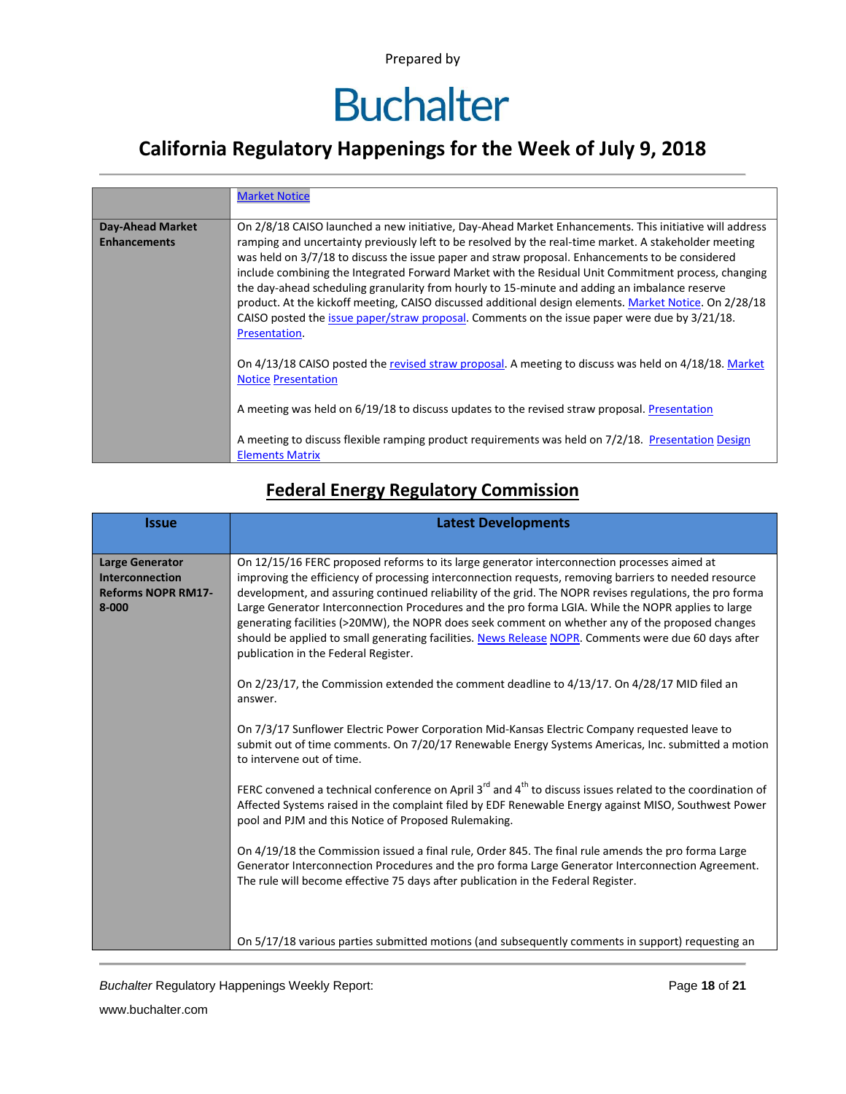### **California Regulatory Happenings for the Week of July 9, 2018**

|                                                | <b>Market Notice</b>                                                                                                                                                                                                                                                                                                                                                                                                                                                                                                                                                                                                                                                                                                                                   |
|------------------------------------------------|--------------------------------------------------------------------------------------------------------------------------------------------------------------------------------------------------------------------------------------------------------------------------------------------------------------------------------------------------------------------------------------------------------------------------------------------------------------------------------------------------------------------------------------------------------------------------------------------------------------------------------------------------------------------------------------------------------------------------------------------------------|
| <b>Day-Ahead Market</b><br><b>Enhancements</b> | On 2/8/18 CAISO launched a new initiative, Day-Ahead Market Enhancements. This initiative will address<br>ramping and uncertainty previously left to be resolved by the real-time market. A stakeholder meeting<br>was held on 3/7/18 to discuss the issue paper and straw proposal. Enhancements to be considered<br>include combining the Integrated Forward Market with the Residual Unit Commitment process, changing<br>the day-ahead scheduling granularity from hourly to 15-minute and adding an imbalance reserve<br>product. At the kickoff meeting, CAISO discussed additional design elements. Market Notice. On 2/28/18<br>CAISO posted the issue paper/straw proposal. Comments on the issue paper were due by 3/21/18.<br>Presentation. |
|                                                | On 4/13/18 CAISO posted the revised straw proposal. A meeting to discuss was held on 4/18/18. Market<br><b>Notice Presentation</b><br>A meeting was held on 6/19/18 to discuss updates to the revised straw proposal. Presentation                                                                                                                                                                                                                                                                                                                                                                                                                                                                                                                     |
|                                                | A meeting to discuss flexible ramping product requirements was held on 7/2/18. Presentation Design<br><b>Elements Matrix</b>                                                                                                                                                                                                                                                                                                                                                                                                                                                                                                                                                                                                                           |

### **Federal Energy Regulatory Commission**

| <b>Issue</b>                                                                               | <b>Latest Developments</b>                                                                                                                                                                                                                                                                                                                                                                                                                                                                                                                                                                                                                                                                                                                                                                                                                                                                                                                                                                                                                                                                                                                                                                                                                                                                                                                                                                                                                                                                                                                                                                                                       |  |  |  |  |
|--------------------------------------------------------------------------------------------|----------------------------------------------------------------------------------------------------------------------------------------------------------------------------------------------------------------------------------------------------------------------------------------------------------------------------------------------------------------------------------------------------------------------------------------------------------------------------------------------------------------------------------------------------------------------------------------------------------------------------------------------------------------------------------------------------------------------------------------------------------------------------------------------------------------------------------------------------------------------------------------------------------------------------------------------------------------------------------------------------------------------------------------------------------------------------------------------------------------------------------------------------------------------------------------------------------------------------------------------------------------------------------------------------------------------------------------------------------------------------------------------------------------------------------------------------------------------------------------------------------------------------------------------------------------------------------------------------------------------------------|--|--|--|--|
|                                                                                            |                                                                                                                                                                                                                                                                                                                                                                                                                                                                                                                                                                                                                                                                                                                                                                                                                                                                                                                                                                                                                                                                                                                                                                                                                                                                                                                                                                                                                                                                                                                                                                                                                                  |  |  |  |  |
| <b>Large Generator</b><br><b>Interconnection</b><br><b>Reforms NOPR RM17-</b><br>$8 - 000$ | On 12/15/16 FERC proposed reforms to its large generator interconnection processes aimed at<br>improving the efficiency of processing interconnection requests, removing barriers to needed resource<br>development, and assuring continued reliability of the grid. The NOPR revises regulations, the pro forma<br>Large Generator Interconnection Procedures and the pro forma LGIA. While the NOPR applies to large<br>generating facilities (>20MW), the NOPR does seek comment on whether any of the proposed changes<br>should be applied to small generating facilities. News Release NOPR. Comments were due 60 days after<br>publication in the Federal Register.<br>On 2/23/17, the Commission extended the comment deadline to 4/13/17. On 4/28/17 MID filed an<br>answer.<br>On 7/3/17 Sunflower Electric Power Corporation Mid-Kansas Electric Company requested leave to<br>submit out of time comments. On 7/20/17 Renewable Energy Systems Americas, Inc. submitted a motion<br>to intervene out of time.<br>FERC convened a technical conference on April 3 <sup>rd</sup> and 4 <sup>th</sup> to discuss issues related to the coordination of<br>Affected Systems raised in the complaint filed by EDF Renewable Energy against MISO, Southwest Power<br>pool and PJM and this Notice of Proposed Rulemaking.<br>On 4/19/18 the Commission issued a final rule, Order 845. The final rule amends the pro forma Large<br>Generator Interconnection Procedures and the pro forma Large Generator Interconnection Agreement.<br>The rule will become effective 75 days after publication in the Federal Register. |  |  |  |  |
|                                                                                            | On 5/17/18 various parties submitted motions (and subsequently comments in support) requesting an                                                                                                                                                                                                                                                                                                                                                                                                                                                                                                                                                                                                                                                                                                                                                                                                                                                                                                                                                                                                                                                                                                                                                                                                                                                                                                                                                                                                                                                                                                                                |  |  |  |  |

**Buchalter Regulatory Happenings Weekly Report:** Page 18 of 21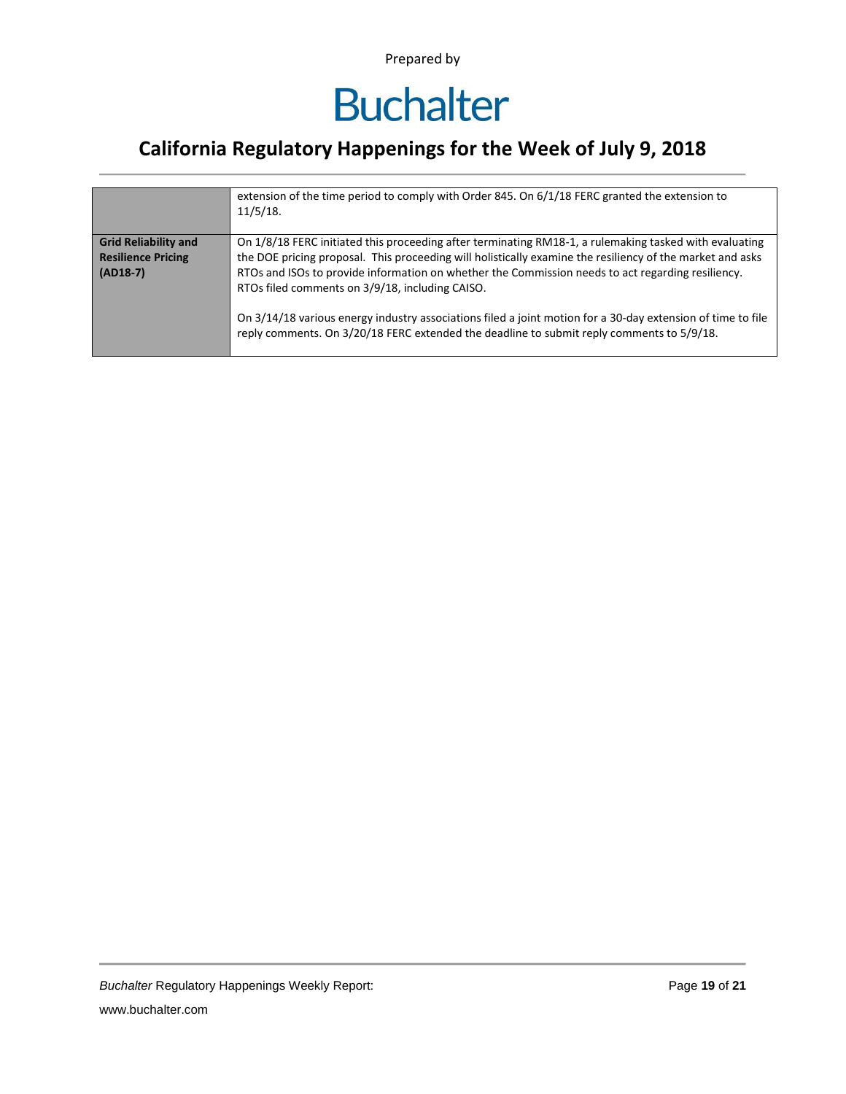### **California Regulatory Happenings for the Week of July 9, 2018**

|                                                                        | extension of the time period to comply with Order 845. On $6/1/18$ FERC granted the extension to                                                                                                                                                                                                                                                                                                                                                                                                                                                                                        |
|------------------------------------------------------------------------|-----------------------------------------------------------------------------------------------------------------------------------------------------------------------------------------------------------------------------------------------------------------------------------------------------------------------------------------------------------------------------------------------------------------------------------------------------------------------------------------------------------------------------------------------------------------------------------------|
|                                                                        | 11/5/18.                                                                                                                                                                                                                                                                                                                                                                                                                                                                                                                                                                                |
| <b>Grid Reliability and</b><br><b>Resilience Pricing</b><br>$(AD18-7)$ | On 1/8/18 FERC initiated this proceeding after terminating RM18-1, a rulemaking tasked with evaluating<br>the DOE pricing proposal. This proceeding will holistically examine the resiliency of the market and asks<br>RTOs and ISOs to provide information on whether the Commission needs to act regarding resiliency.<br>RTOs filed comments on 3/9/18, including CAISO.<br>On 3/14/18 various energy industry associations filed a joint motion for a 30-day extension of time to file<br>reply comments. On 3/20/18 FERC extended the deadline to submit reply comments to 5/9/18. |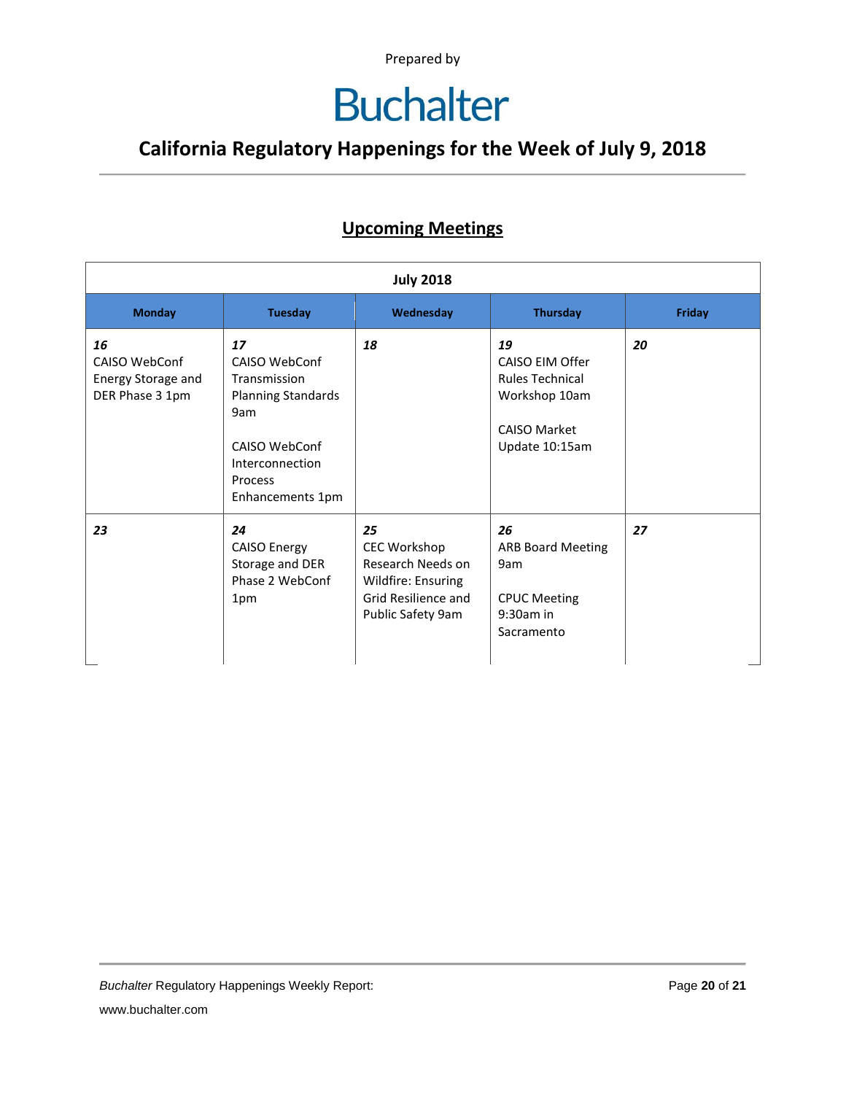## **Buchalter**

### **California Regulatory Happenings for the Week of July 9, 2018**

#### **Upcoming Meetings**

| <b>July 2018</b>                                             |                                                                                                                                            |                                                                                                                  |                                                                                                           |        |
|--------------------------------------------------------------|--------------------------------------------------------------------------------------------------------------------------------------------|------------------------------------------------------------------------------------------------------------------|-----------------------------------------------------------------------------------------------------------|--------|
| <b>Monday</b>                                                | <b>Tuesday</b>                                                                                                                             | Wednesday                                                                                                        | <b>Thursday</b>                                                                                           | Friday |
| 16<br>CAISO WebConf<br>Energy Storage and<br>DER Phase 3 1pm | 17<br>CAISO WebConf<br>Transmission<br><b>Planning Standards</b><br>9am<br>CAISO WebConf<br>Interconnection<br>Process<br>Enhancements 1pm | 18                                                                                                               | 19<br>CAISO EIM Offer<br><b>Rules Technical</b><br>Workshop 10am<br><b>CAISO Market</b><br>Update 10:15am | 20     |
| 23                                                           | 24<br><b>CAISO Energy</b><br>Storage and DER<br>Phase 2 WebConf<br>1pm                                                                     | 25<br><b>CEC Workshop</b><br>Research Needs on<br>Wildfire: Ensuring<br>Grid Resilience and<br>Public Safety 9am | 26<br><b>ARB Board Meeting</b><br>9am<br><b>CPUC Meeting</b><br>$9:30am$ in<br>Sacramento                 | 27     |